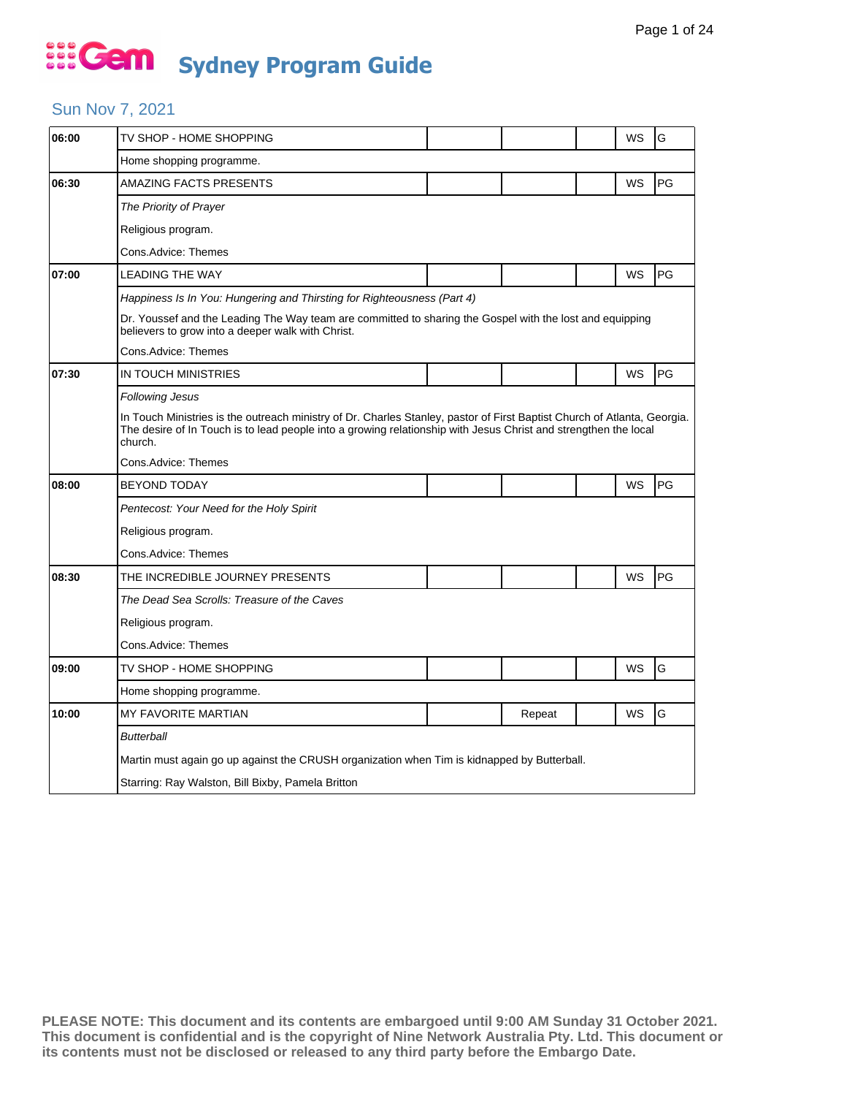### Sun Nov 7, 2021

| 06:00 | TV SHOP - HOME SHOPPING                                                                                                                                                                                                                                |  |        |  | WS        | G  |  |  |  |
|-------|--------------------------------------------------------------------------------------------------------------------------------------------------------------------------------------------------------------------------------------------------------|--|--------|--|-----------|----|--|--|--|
|       | Home shopping programme.                                                                                                                                                                                                                               |  |        |  |           |    |  |  |  |
| 06:30 | AMAZING FACTS PRESENTS                                                                                                                                                                                                                                 |  |        |  | WS        | PG |  |  |  |
|       | The Priority of Prayer                                                                                                                                                                                                                                 |  |        |  |           |    |  |  |  |
|       | Religious program.                                                                                                                                                                                                                                     |  |        |  |           |    |  |  |  |
|       | Cons.Advice: Themes                                                                                                                                                                                                                                    |  |        |  |           |    |  |  |  |
| 07:00 | <b>LEADING THE WAY</b>                                                                                                                                                                                                                                 |  |        |  | WS        | PG |  |  |  |
|       | Happiness Is In You: Hungering and Thirsting for Righteousness (Part 4)                                                                                                                                                                                |  |        |  |           |    |  |  |  |
|       | Dr. Youssef and the Leading The Way team are committed to sharing the Gospel with the lost and equipping<br>believers to grow into a deeper walk with Christ.                                                                                          |  |        |  |           |    |  |  |  |
|       | Cons.Advice: Themes                                                                                                                                                                                                                                    |  |        |  |           |    |  |  |  |
| 07:30 | IN TOUCH MINISTRIES                                                                                                                                                                                                                                    |  |        |  | <b>WS</b> | PG |  |  |  |
|       | <b>Following Jesus</b>                                                                                                                                                                                                                                 |  |        |  |           |    |  |  |  |
|       | In Touch Ministries is the outreach ministry of Dr. Charles Stanley, pastor of First Baptist Church of Atlanta, Georgia.<br>The desire of In Touch is to lead people into a growing relationship with Jesus Christ and strengthen the local<br>church. |  |        |  |           |    |  |  |  |
|       | Cons.Advice: Themes                                                                                                                                                                                                                                    |  |        |  |           |    |  |  |  |
| 08:00 | <b>BEYOND TODAY</b>                                                                                                                                                                                                                                    |  |        |  | WS        | PG |  |  |  |
|       | Pentecost: Your Need for the Holy Spirit                                                                                                                                                                                                               |  |        |  |           |    |  |  |  |
|       | Religious program.                                                                                                                                                                                                                                     |  |        |  |           |    |  |  |  |
|       | Cons.Advice: Themes                                                                                                                                                                                                                                    |  |        |  |           |    |  |  |  |
| 08:30 | THE INCREDIBLE JOURNEY PRESENTS                                                                                                                                                                                                                        |  |        |  | WS        | PG |  |  |  |
|       | The Dead Sea Scrolls: Treasure of the Caves                                                                                                                                                                                                            |  |        |  |           |    |  |  |  |
|       | Religious program.                                                                                                                                                                                                                                     |  |        |  |           |    |  |  |  |
|       | Cons.Advice: Themes                                                                                                                                                                                                                                    |  |        |  |           |    |  |  |  |
| 09:00 | TV SHOP - HOME SHOPPING                                                                                                                                                                                                                                |  |        |  | WS        | G  |  |  |  |
|       | Home shopping programme.                                                                                                                                                                                                                               |  |        |  |           |    |  |  |  |
| 10:00 | <b>MY FAVORITE MARTIAN</b>                                                                                                                                                                                                                             |  | Repeat |  | WS        | G  |  |  |  |
|       | Butterball                                                                                                                                                                                                                                             |  |        |  |           |    |  |  |  |
|       | Martin must again go up against the CRUSH organization when Tim is kidnapped by Butterball.                                                                                                                                                            |  |        |  |           |    |  |  |  |
|       | Starring: Ray Walston, Bill Bixby, Pamela Britton                                                                                                                                                                                                      |  |        |  |           |    |  |  |  |
|       |                                                                                                                                                                                                                                                        |  |        |  |           |    |  |  |  |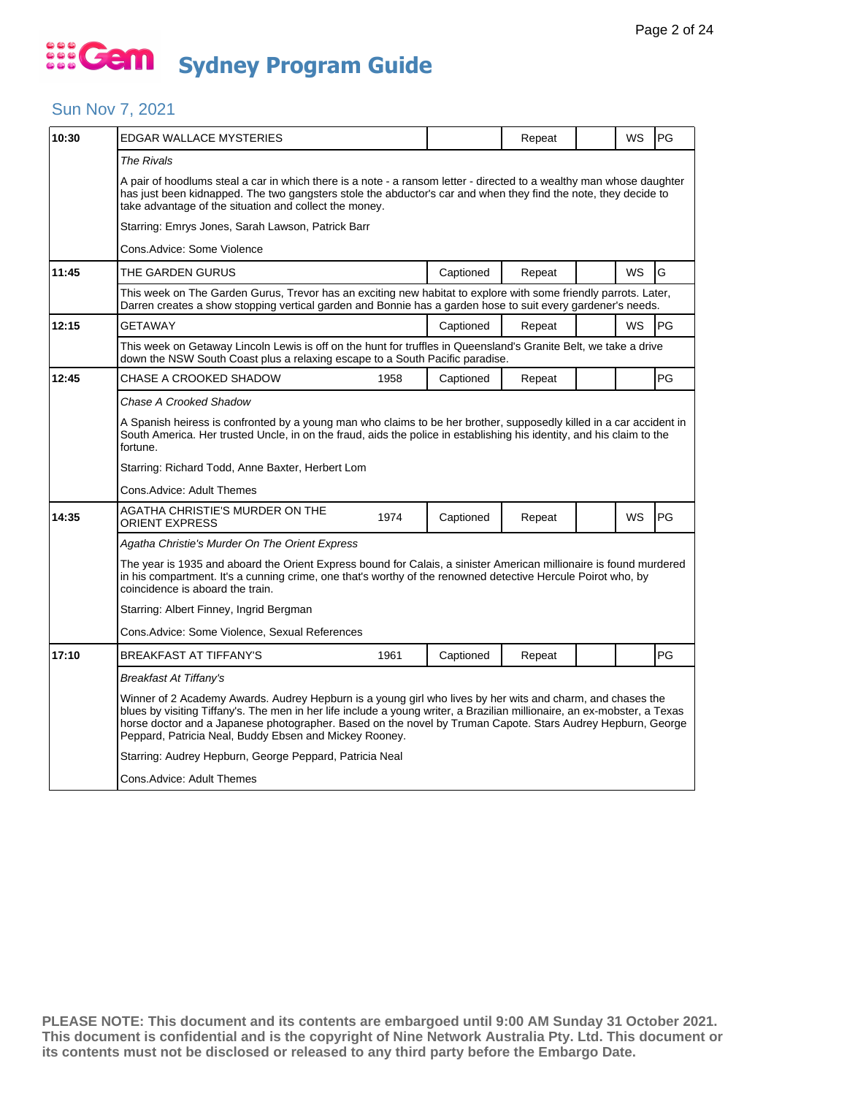#### Sun Nov 7, 2021

| 10:30 | EDGAR WALLACE MYSTERIES                                                                                                                                                                                                                                                                                                                                                                                         |      |           | Repeat |  | WS | PG |  |  |  |
|-------|-----------------------------------------------------------------------------------------------------------------------------------------------------------------------------------------------------------------------------------------------------------------------------------------------------------------------------------------------------------------------------------------------------------------|------|-----------|--------|--|----|----|--|--|--|
|       | The Rivals                                                                                                                                                                                                                                                                                                                                                                                                      |      |           |        |  |    |    |  |  |  |
|       | A pair of hoodlums steal a car in which there is a note - a ransom letter - directed to a wealthy man whose daughter<br>has just been kidnapped. The two gangsters stole the abductor's car and when they find the note, they decide to<br>take advantage of the situation and collect the money.                                                                                                               |      |           |        |  |    |    |  |  |  |
|       | Starring: Emrys Jones, Sarah Lawson, Patrick Barr                                                                                                                                                                                                                                                                                                                                                               |      |           |        |  |    |    |  |  |  |
|       | Cons.Advice: Some Violence                                                                                                                                                                                                                                                                                                                                                                                      |      |           |        |  |    |    |  |  |  |
| 11:45 | THE GARDEN GURUS                                                                                                                                                                                                                                                                                                                                                                                                |      | Captioned | Repeat |  | WS | G  |  |  |  |
|       | This week on The Garden Gurus, Trevor has an exciting new habitat to explore with some friendly parrots. Later,<br>Darren creates a show stopping vertical garden and Bonnie has a garden hose to suit every gardener's needs.                                                                                                                                                                                  |      |           |        |  |    |    |  |  |  |
| 12:15 | <b>GETAWAY</b>                                                                                                                                                                                                                                                                                                                                                                                                  |      | Captioned | Repeat |  | WS | PG |  |  |  |
|       | This week on Getaway Lincoln Lewis is off on the hunt for truffles in Queensland's Granite Belt, we take a drive<br>down the NSW South Coast plus a relaxing escape to a South Pacific paradise.                                                                                                                                                                                                                |      |           |        |  |    |    |  |  |  |
| 12:45 | CHASE A CROOKED SHADOW                                                                                                                                                                                                                                                                                                                                                                                          | 1958 | Captioned | Repeat |  |    | PG |  |  |  |
|       | Chase A Crooked Shadow                                                                                                                                                                                                                                                                                                                                                                                          |      |           |        |  |    |    |  |  |  |
|       | A Spanish heiress is confronted by a young man who claims to be her brother, supposedly killed in a car accident in<br>South America. Her trusted Uncle, in on the fraud, aids the police in establishing his identity, and his claim to the<br>fortune.                                                                                                                                                        |      |           |        |  |    |    |  |  |  |
|       | Starring: Richard Todd, Anne Baxter, Herbert Lom                                                                                                                                                                                                                                                                                                                                                                |      |           |        |  |    |    |  |  |  |
|       | Cons. Advice: Adult Themes                                                                                                                                                                                                                                                                                                                                                                                      |      |           |        |  |    |    |  |  |  |
| 14:35 | AGATHA CHRISTIE'S MURDER ON THE<br>ORIENT EXPRESS                                                                                                                                                                                                                                                                                                                                                               | 1974 | Captioned | Repeat |  | WS | PG |  |  |  |
|       | Agatha Christie's Murder On The Orient Express                                                                                                                                                                                                                                                                                                                                                                  |      |           |        |  |    |    |  |  |  |
|       | The year is 1935 and aboard the Orient Express bound for Calais, a sinister American millionaire is found murdered<br>in his compartment. It's a cunning crime, one that's worthy of the renowned detective Hercule Poirot who, by<br>coincidence is aboard the train.                                                                                                                                          |      |           |        |  |    |    |  |  |  |
|       | Starring: Albert Finney, Ingrid Bergman                                                                                                                                                                                                                                                                                                                                                                         |      |           |        |  |    |    |  |  |  |
|       | Cons. Advice: Some Violence, Sexual References                                                                                                                                                                                                                                                                                                                                                                  |      |           |        |  |    |    |  |  |  |
| 17:10 | <b>BREAKFAST AT TIFFANY'S</b>                                                                                                                                                                                                                                                                                                                                                                                   | 1961 | Captioned | Repeat |  |    | PG |  |  |  |
|       | Breakfast At Tiffany's                                                                                                                                                                                                                                                                                                                                                                                          |      |           |        |  |    |    |  |  |  |
|       | Winner of 2 Academy Awards. Audrey Hepburn is a young girl who lives by her wits and charm, and chases the<br>blues by visiting Tiffany's. The men in her life include a young writer, a Brazilian millionaire, an ex-mobster, a Texas<br>horse doctor and a Japanese photographer. Based on the novel by Truman Capote. Stars Audrey Hepburn, George<br>Peppard, Patricia Neal, Buddy Ebsen and Mickey Rooney. |      |           |        |  |    |    |  |  |  |
|       | Starring: Audrey Hepburn, George Peppard, Patricia Neal                                                                                                                                                                                                                                                                                                                                                         |      |           |        |  |    |    |  |  |  |
|       | Cons. Advice: Adult Themes                                                                                                                                                                                                                                                                                                                                                                                      |      |           |        |  |    |    |  |  |  |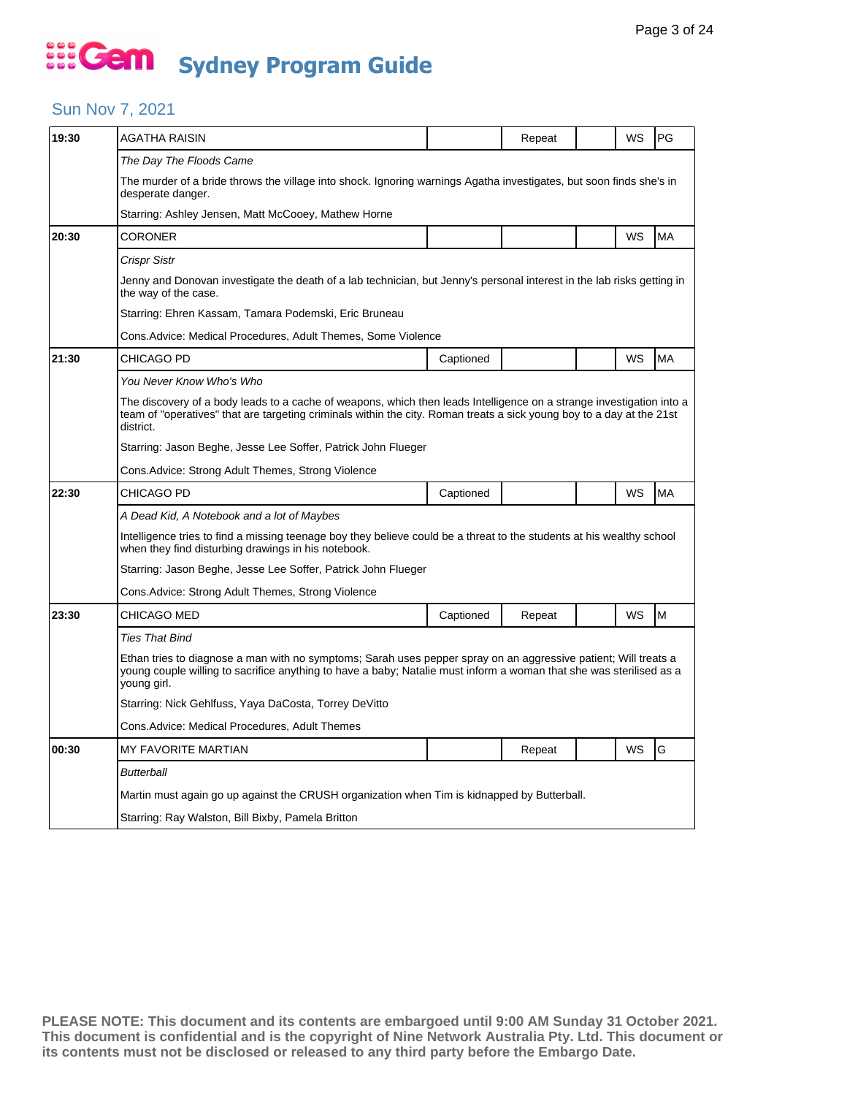### Sun Nov 7, 2021

| AGATHA RAISIN                                                                                                                                                                                                                                              |           | Repeat                                                                                                                        |  | WS | PG        |  |  |  |
|------------------------------------------------------------------------------------------------------------------------------------------------------------------------------------------------------------------------------------------------------------|-----------|-------------------------------------------------------------------------------------------------------------------------------|--|----|-----------|--|--|--|
| The Day The Floods Came                                                                                                                                                                                                                                    |           |                                                                                                                               |  |    |           |  |  |  |
| The murder of a bride throws the village into shock. Ignoring warnings Agatha investigates, but soon finds she's in<br>desperate danger.                                                                                                                   |           |                                                                                                                               |  |    |           |  |  |  |
| Starring: Ashley Jensen, Matt McCooey, Mathew Horne                                                                                                                                                                                                        |           |                                                                                                                               |  |    |           |  |  |  |
| CORONER                                                                                                                                                                                                                                                    |           |                                                                                                                               |  | WS | <b>MA</b> |  |  |  |
| Crispr Sistr                                                                                                                                                                                                                                               |           |                                                                                                                               |  |    |           |  |  |  |
| Jenny and Donovan investigate the death of a lab technician, but Jenny's personal interest in the lab risks getting in<br>the way of the case.                                                                                                             |           |                                                                                                                               |  |    |           |  |  |  |
| Starring: Ehren Kassam, Tamara Podemski, Eric Bruneau                                                                                                                                                                                                      |           |                                                                                                                               |  |    |           |  |  |  |
|                                                                                                                                                                                                                                                            |           |                                                                                                                               |  |    |           |  |  |  |
| CHICAGO PD                                                                                                                                                                                                                                                 | Captioned |                                                                                                                               |  | WS | <b>MA</b> |  |  |  |
| You Never Know Who's Who                                                                                                                                                                                                                                   |           |                                                                                                                               |  |    |           |  |  |  |
| The discovery of a body leads to a cache of weapons, which then leads Intelligence on a strange investigation into a<br>team of "operatives" that are targeting criminals within the city. Roman treats a sick young boy to a day at the 21st<br>district. |           |                                                                                                                               |  |    |           |  |  |  |
| Starring: Jason Beghe, Jesse Lee Soffer, Patrick John Flueger                                                                                                                                                                                              |           |                                                                                                                               |  |    |           |  |  |  |
| Cons.Advice: Strong Adult Themes, Strong Violence                                                                                                                                                                                                          |           |                                                                                                                               |  |    |           |  |  |  |
| CHICAGO PD                                                                                                                                                                                                                                                 | Captioned |                                                                                                                               |  | WS | <b>MA</b> |  |  |  |
| A Dead Kid, A Notebook and a lot of Maybes                                                                                                                                                                                                                 |           |                                                                                                                               |  |    |           |  |  |  |
| Intelligence tries to find a missing teenage boy they believe could be a threat to the students at his wealthy school<br>when they find disturbing drawings in his notebook.                                                                               |           |                                                                                                                               |  |    |           |  |  |  |
|                                                                                                                                                                                                                                                            |           |                                                                                                                               |  |    |           |  |  |  |
| Cons.Advice: Strong Adult Themes, Strong Violence                                                                                                                                                                                                          |           |                                                                                                                               |  |    |           |  |  |  |
| CHICAGO MED                                                                                                                                                                                                                                                | Captioned | Repeat                                                                                                                        |  | WS | M         |  |  |  |
| Ties That Bind                                                                                                                                                                                                                                             |           |                                                                                                                               |  |    |           |  |  |  |
| Ethan tries to diagnose a man with no symptoms; Sarah uses pepper spray on an aggressive patient; Will treats a<br>young couple willing to sacrifice anything to have a baby; Natalie must inform a woman that she was sterilised as a<br>young girl.      |           |                                                                                                                               |  |    |           |  |  |  |
| Starring: Nick Gehlfuss, Yaya DaCosta, Torrey DeVitto                                                                                                                                                                                                      |           |                                                                                                                               |  |    |           |  |  |  |
|                                                                                                                                                                                                                                                            |           |                                                                                                                               |  |    |           |  |  |  |
| Cons.Advice: Medical Procedures, Adult Themes                                                                                                                                                                                                              |           |                                                                                                                               |  |    |           |  |  |  |
| <b>MY FAVORITE MARTIAN</b>                                                                                                                                                                                                                                 |           | Repeat                                                                                                                        |  | WS | G         |  |  |  |
| <b>Butterball</b>                                                                                                                                                                                                                                          |           |                                                                                                                               |  |    |           |  |  |  |
| Martin must again go up against the CRUSH organization when Tim is kidnapped by Butterball.                                                                                                                                                                |           |                                                                                                                               |  |    |           |  |  |  |
|                                                                                                                                                                                                                                                            |           | Cons.Advice: Medical Procedures, Adult Themes, Some Violence<br>Starring: Jason Beghe, Jesse Lee Soffer, Patrick John Flueger |  |    |           |  |  |  |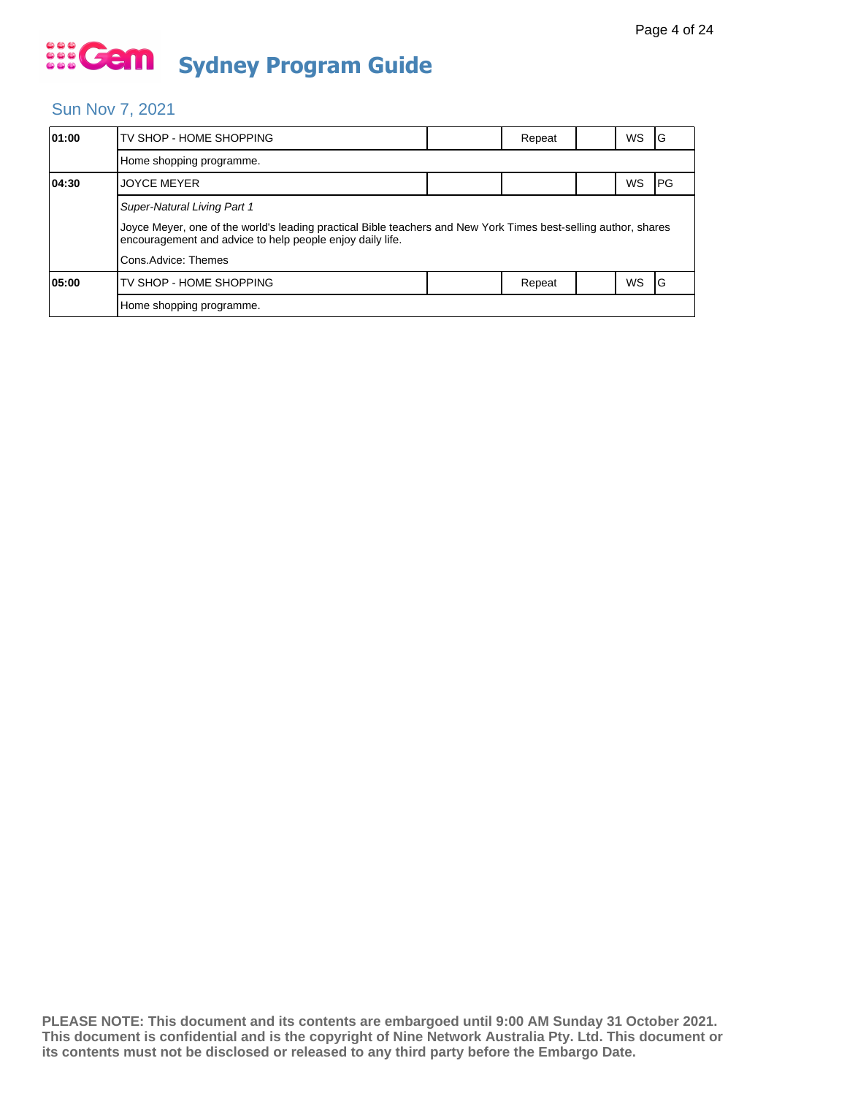#### Sun Nov 7, 2021

| 01:00 | TV SHOP - HOME SHOPPING                                                                                                                                                      |  | Repeat |  | WS | ١G   |  |  |  |
|-------|------------------------------------------------------------------------------------------------------------------------------------------------------------------------------|--|--------|--|----|------|--|--|--|
|       | Home shopping programme.                                                                                                                                                     |  |        |  |    |      |  |  |  |
| 04:30 | <b>JOYCE MEYER</b>                                                                                                                                                           |  |        |  | WS | IPG. |  |  |  |
|       | Super-Natural Living Part 1                                                                                                                                                  |  |        |  |    |      |  |  |  |
|       | Joyce Meyer, one of the world's leading practical Bible teachers and New York Times best-selling author, shares<br>encouragement and advice to help people enjoy daily life. |  |        |  |    |      |  |  |  |
|       | Cons.Advice: Themes                                                                                                                                                          |  |        |  |    |      |  |  |  |
| 05:00 | TV SHOP - HOME SHOPPING                                                                                                                                                      |  | Repeat |  | WS | 1G   |  |  |  |
|       | Home shopping programme.                                                                                                                                                     |  |        |  |    |      |  |  |  |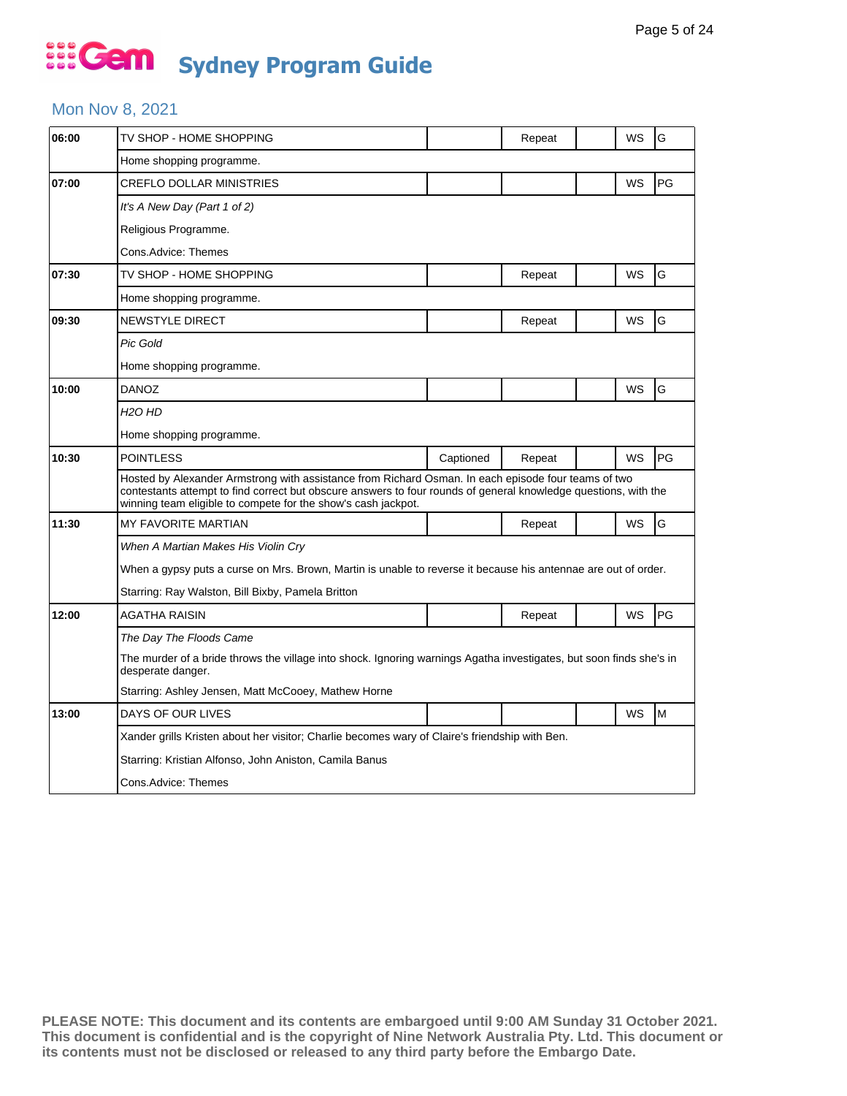#### Mon Nov 8, 2021

| 06:00 | TV SHOP - HOME SHOPPING                                                                                                                                                                                                                                                                 |           | Repeat |  | WS | G  |  |  |
|-------|-----------------------------------------------------------------------------------------------------------------------------------------------------------------------------------------------------------------------------------------------------------------------------------------|-----------|--------|--|----|----|--|--|
|       | Home shopping programme.                                                                                                                                                                                                                                                                |           |        |  |    |    |  |  |
| 07:00 | <b>CREFLO DOLLAR MINISTRIES</b>                                                                                                                                                                                                                                                         |           |        |  | WS | PG |  |  |
|       | It's A New Day (Part 1 of 2)                                                                                                                                                                                                                                                            |           |        |  |    |    |  |  |
|       | Religious Programme.                                                                                                                                                                                                                                                                    |           |        |  |    |    |  |  |
|       | Cons.Advice: Themes                                                                                                                                                                                                                                                                     |           |        |  |    |    |  |  |
| 07:30 | TV SHOP - HOME SHOPPING                                                                                                                                                                                                                                                                 |           | Repeat |  | WS | G  |  |  |
|       | Home shopping programme.                                                                                                                                                                                                                                                                |           |        |  |    |    |  |  |
| 09:30 | NEWSTYLE DIRECT                                                                                                                                                                                                                                                                         |           | Repeat |  | WS | G  |  |  |
|       | <b>Pic Gold</b>                                                                                                                                                                                                                                                                         |           |        |  |    |    |  |  |
|       | Home shopping programme.                                                                                                                                                                                                                                                                |           |        |  |    |    |  |  |
| 10:00 | DANOZ                                                                                                                                                                                                                                                                                   |           |        |  | WS | G  |  |  |
|       | H <sub>2</sub> O HD                                                                                                                                                                                                                                                                     |           |        |  |    |    |  |  |
|       | Home shopping programme.                                                                                                                                                                                                                                                                |           |        |  |    |    |  |  |
| 10:30 | <b>POINTLESS</b>                                                                                                                                                                                                                                                                        | Captioned | Repeat |  | WS | PG |  |  |
|       | Hosted by Alexander Armstrong with assistance from Richard Osman. In each episode four teams of two<br>contestants attempt to find correct but obscure answers to four rounds of general knowledge questions, with the<br>winning team eligible to compete for the show's cash jackpot. |           |        |  |    |    |  |  |
| 11:30 | <b>MY FAVORITE MARTIAN</b>                                                                                                                                                                                                                                                              |           | Repeat |  | WS | G  |  |  |
|       | When A Martian Makes His Violin Cry                                                                                                                                                                                                                                                     |           |        |  |    |    |  |  |
|       | When a gypsy puts a curse on Mrs. Brown, Martin is unable to reverse it because his antennae are out of order.                                                                                                                                                                          |           |        |  |    |    |  |  |
|       | Starring: Ray Walston, Bill Bixby, Pamela Britton                                                                                                                                                                                                                                       |           |        |  |    |    |  |  |
| 12:00 | AGATHA RAISIN                                                                                                                                                                                                                                                                           |           | Repeat |  | WS | PG |  |  |
|       | The Day The Floods Came                                                                                                                                                                                                                                                                 |           |        |  |    |    |  |  |
|       | The murder of a bride throws the village into shock. Ignoring warnings Agatha investigates, but soon finds she's in<br>desperate danger.                                                                                                                                                |           |        |  |    |    |  |  |
|       | Starring: Ashley Jensen, Matt McCooey, Mathew Horne                                                                                                                                                                                                                                     |           |        |  |    |    |  |  |
| 13:00 | DAYS OF OUR LIVES                                                                                                                                                                                                                                                                       |           |        |  | WS | M  |  |  |
|       | Xander grills Kristen about her visitor; Charlie becomes wary of Claire's friendship with Ben.                                                                                                                                                                                          |           |        |  |    |    |  |  |
|       | Starring: Kristian Alfonso, John Aniston, Camila Banus                                                                                                                                                                                                                                  |           |        |  |    |    |  |  |
|       | Cons.Advice: Themes                                                                                                                                                                                                                                                                     |           |        |  |    |    |  |  |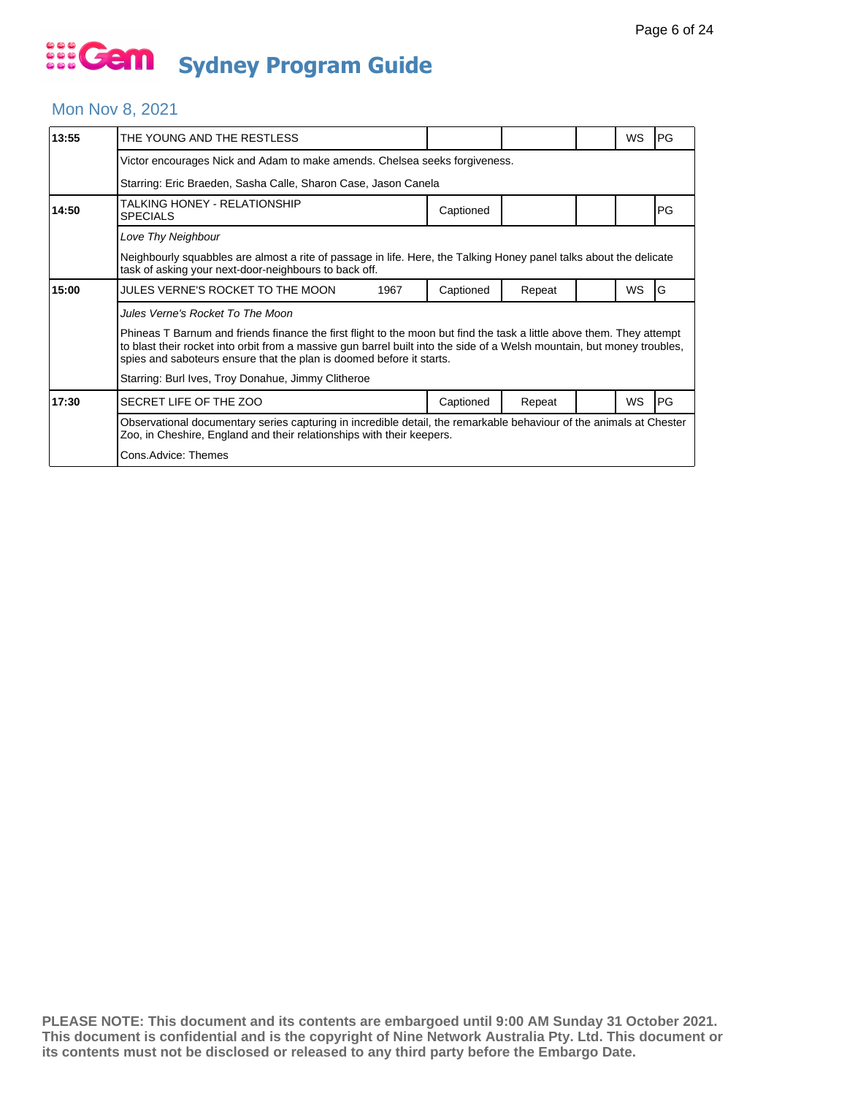#### Mon Nov 8, 2021

| 13:55 | THE YOUNG AND THE RESTLESS                                                                                                                                                                                                                                                                                               |      |           |        |  | WS        | PG         |  |  |
|-------|--------------------------------------------------------------------------------------------------------------------------------------------------------------------------------------------------------------------------------------------------------------------------------------------------------------------------|------|-----------|--------|--|-----------|------------|--|--|
|       | Victor encourages Nick and Adam to make amends. Chelsea seeks forgiveness.                                                                                                                                                                                                                                               |      |           |        |  |           |            |  |  |
|       | Starring: Eric Braeden, Sasha Calle, Sharon Case, Jason Canela                                                                                                                                                                                                                                                           |      |           |        |  |           |            |  |  |
| 14:50 | TALKING HONEY - RELATIONSHIP<br><b>SPECIALS</b>                                                                                                                                                                                                                                                                          |      | Captioned |        |  |           | PG         |  |  |
|       |                                                                                                                                                                                                                                                                                                                          |      |           |        |  |           |            |  |  |
|       | Neighbourly squabbles are almost a rite of passage in life. Here, the Talking Honey panel talks about the delicate<br>task of asking your next-door-neighbours to back off.                                                                                                                                              |      |           |        |  |           |            |  |  |
| 15:00 | JULES VERNE'S ROCKET TO THE MOON                                                                                                                                                                                                                                                                                         | 1967 | Captioned | Repeat |  | <b>WS</b> | G          |  |  |
|       | Jules Verne's Rocket To The Moon                                                                                                                                                                                                                                                                                         |      |           |        |  |           |            |  |  |
|       | Phineas T Barnum and friends finance the first flight to the moon but find the task a little above them. They attempt<br>to blast their rocket into orbit from a massive gun barrel built into the side of a Welsh mountain, but money troubles,<br>spies and saboteurs ensure that the plan is doomed before it starts. |      |           |        |  |           |            |  |  |
|       | Starring: Burl Ives, Troy Donahue, Jimmy Clitheroe                                                                                                                                                                                                                                                                       |      |           |        |  |           |            |  |  |
| 17:30 | SECRET LIFE OF THE ZOO                                                                                                                                                                                                                                                                                                   |      | Captioned | Repeat |  | <b>WS</b> | <b>IPG</b> |  |  |
|       | Observational documentary series capturing in incredible detail, the remarkable behaviour of the animals at Chester<br>Zoo, in Cheshire, England and their relationships with their keepers.                                                                                                                             |      |           |        |  |           |            |  |  |
|       | Cons.Advice: Themes                                                                                                                                                                                                                                                                                                      |      |           |        |  |           |            |  |  |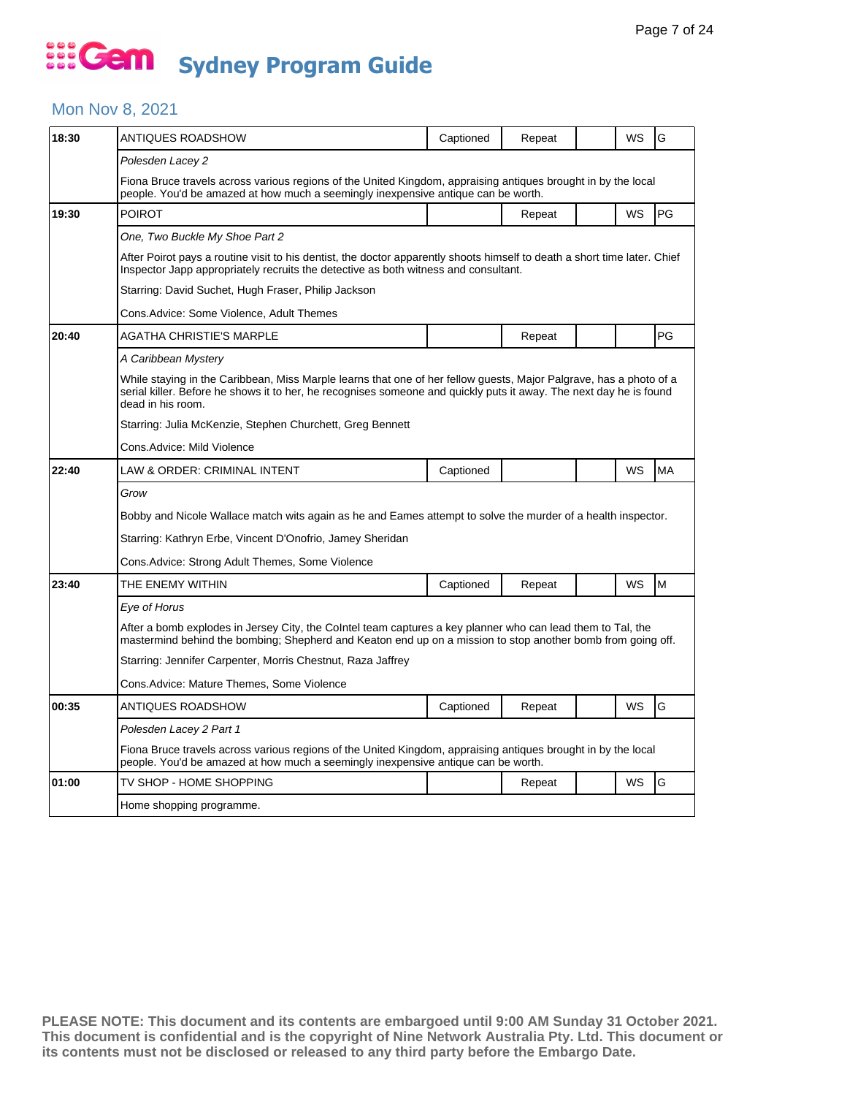#### Mon Nov 8, 2021

| 18:30 | ANTIQUES ROADSHOW                                                                                                                                                                                                                                             | Captioned | Repeat |  | WS        | G         |  |  |
|-------|---------------------------------------------------------------------------------------------------------------------------------------------------------------------------------------------------------------------------------------------------------------|-----------|--------|--|-----------|-----------|--|--|
|       | Polesden Lacey 2                                                                                                                                                                                                                                              |           |        |  |           |           |  |  |
|       | Fiona Bruce travels across various regions of the United Kingdom, appraising antiques brought in by the local<br>people. You'd be amazed at how much a seemingly inexpensive antique can be worth.                                                            |           |        |  |           |           |  |  |
| 19:30 | <b>POIROT</b>                                                                                                                                                                                                                                                 |           | Repeat |  | <b>WS</b> | PG        |  |  |
|       | One, Two Buckle My Shoe Part 2                                                                                                                                                                                                                                |           |        |  |           |           |  |  |
|       | After Poirot pays a routine visit to his dentist, the doctor apparently shoots himself to death a short time later. Chief<br>Inspector Japp appropriately recruits the detective as both witness and consultant.                                              |           |        |  |           |           |  |  |
|       | Starring: David Suchet, Hugh Fraser, Philip Jackson                                                                                                                                                                                                           |           |        |  |           |           |  |  |
|       | Cons.Advice: Some Violence, Adult Themes                                                                                                                                                                                                                      |           |        |  |           |           |  |  |
| 20:40 | AGATHA CHRISTIE'S MARPLE                                                                                                                                                                                                                                      |           | Repeat |  |           | PG        |  |  |
|       | A Caribbean Mystery                                                                                                                                                                                                                                           |           |        |  |           |           |  |  |
|       | While staying in the Caribbean, Miss Marple learns that one of her fellow guests, Major Palgrave, has a photo of a<br>serial killer. Before he shows it to her, he recognises someone and quickly puts it away. The next day he is found<br>dead in his room. |           |        |  |           |           |  |  |
|       | Starring: Julia McKenzie, Stephen Churchett, Greg Bennett                                                                                                                                                                                                     |           |        |  |           |           |  |  |
|       | Cons.Advice: Mild Violence                                                                                                                                                                                                                                    |           |        |  |           |           |  |  |
| 22:40 | LAW & ORDER: CRIMINAL INTENT                                                                                                                                                                                                                                  | Captioned |        |  | <b>WS</b> | <b>MA</b> |  |  |
|       | Grow                                                                                                                                                                                                                                                          |           |        |  |           |           |  |  |
|       | Bobby and Nicole Wallace match wits again as he and Eames attempt to solve the murder of a health inspector.                                                                                                                                                  |           |        |  |           |           |  |  |
|       | Starring: Kathryn Erbe, Vincent D'Onofrio, Jamey Sheridan                                                                                                                                                                                                     |           |        |  |           |           |  |  |
|       | Cons.Advice: Strong Adult Themes, Some Violence                                                                                                                                                                                                               |           |        |  |           |           |  |  |
| 23:40 | THE ENEMY WITHIN                                                                                                                                                                                                                                              | Captioned | Repeat |  | WS        | M         |  |  |
|       | Eye of Horus                                                                                                                                                                                                                                                  |           |        |  |           |           |  |  |
|       | After a bomb explodes in Jersey City, the Colntel team captures a key planner who can lead them to Tal, the<br>mastermind behind the bombing; Shepherd and Keaton end up on a mission to stop another bomb from going off.                                    |           |        |  |           |           |  |  |
|       | Starring: Jennifer Carpenter, Morris Chestnut, Raza Jaffrey                                                                                                                                                                                                   |           |        |  |           |           |  |  |
|       | Cons.Advice: Mature Themes, Some Violence                                                                                                                                                                                                                     |           |        |  |           |           |  |  |
| 00:35 | ANTIQUES ROADSHOW                                                                                                                                                                                                                                             | Captioned | Repeat |  | WS        | G         |  |  |
|       | Polesden Lacey 2 Part 1                                                                                                                                                                                                                                       |           |        |  |           |           |  |  |
|       | Fiona Bruce travels across various regions of the United Kingdom, appraising antiques brought in by the local<br>people. You'd be amazed at how much a seemingly inexpensive antique can be worth.                                                            |           |        |  |           |           |  |  |
| 01:00 | TV SHOP - HOME SHOPPING                                                                                                                                                                                                                                       |           | Repeat |  | <b>WS</b> | G         |  |  |
|       | Home shopping programme.                                                                                                                                                                                                                                      |           |        |  |           |           |  |  |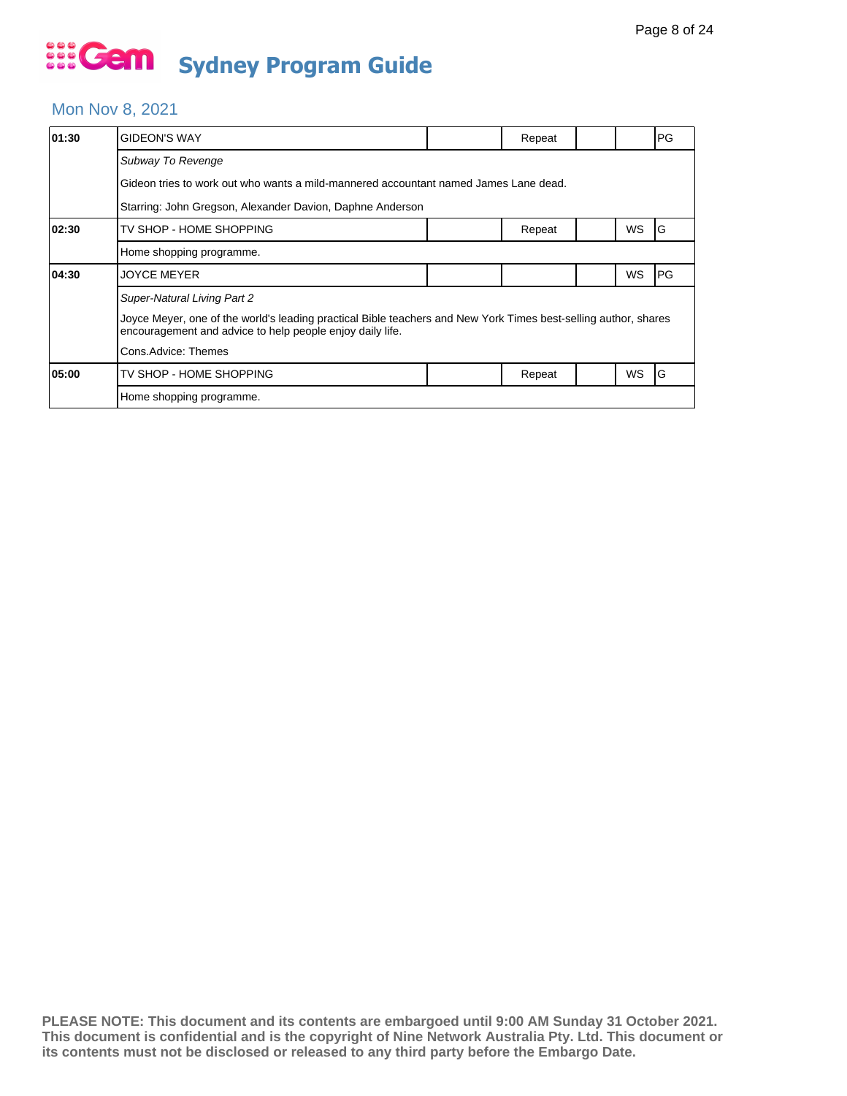#### Mon Nov 8, 2021

| 01:30 | GIDEON'S WAY                                                                                                                                                                 |  | Repeat |  |    | PG |  |  |  |
|-------|------------------------------------------------------------------------------------------------------------------------------------------------------------------------------|--|--------|--|----|----|--|--|--|
|       | Subway To Revenge                                                                                                                                                            |  |        |  |    |    |  |  |  |
|       | Gideon tries to work out who wants a mild-mannered accountant named James Lane dead.                                                                                         |  |        |  |    |    |  |  |  |
|       | Starring: John Gregson, Alexander Davion, Daphne Anderson                                                                                                                    |  |        |  |    |    |  |  |  |
| 02:30 | TV SHOP - HOME SHOPPING                                                                                                                                                      |  | Repeat |  | WS | G  |  |  |  |
|       | Home shopping programme.                                                                                                                                                     |  |        |  |    |    |  |  |  |
| 04:30 | <b>JOYCE MEYER</b>                                                                                                                                                           |  |        |  | WS | PG |  |  |  |
|       | <b>Super-Natural Living Part 2</b>                                                                                                                                           |  |        |  |    |    |  |  |  |
|       | Joyce Meyer, one of the world's leading practical Bible teachers and New York Times best-selling author, shares<br>encouragement and advice to help people enjoy daily life. |  |        |  |    |    |  |  |  |
|       | Cons.Advice: Themes                                                                                                                                                          |  |        |  |    |    |  |  |  |
| 05:00 | TV SHOP - HOME SHOPPING                                                                                                                                                      |  | Repeat |  | WS | ١G |  |  |  |
|       | Home shopping programme.                                                                                                                                                     |  |        |  |    |    |  |  |  |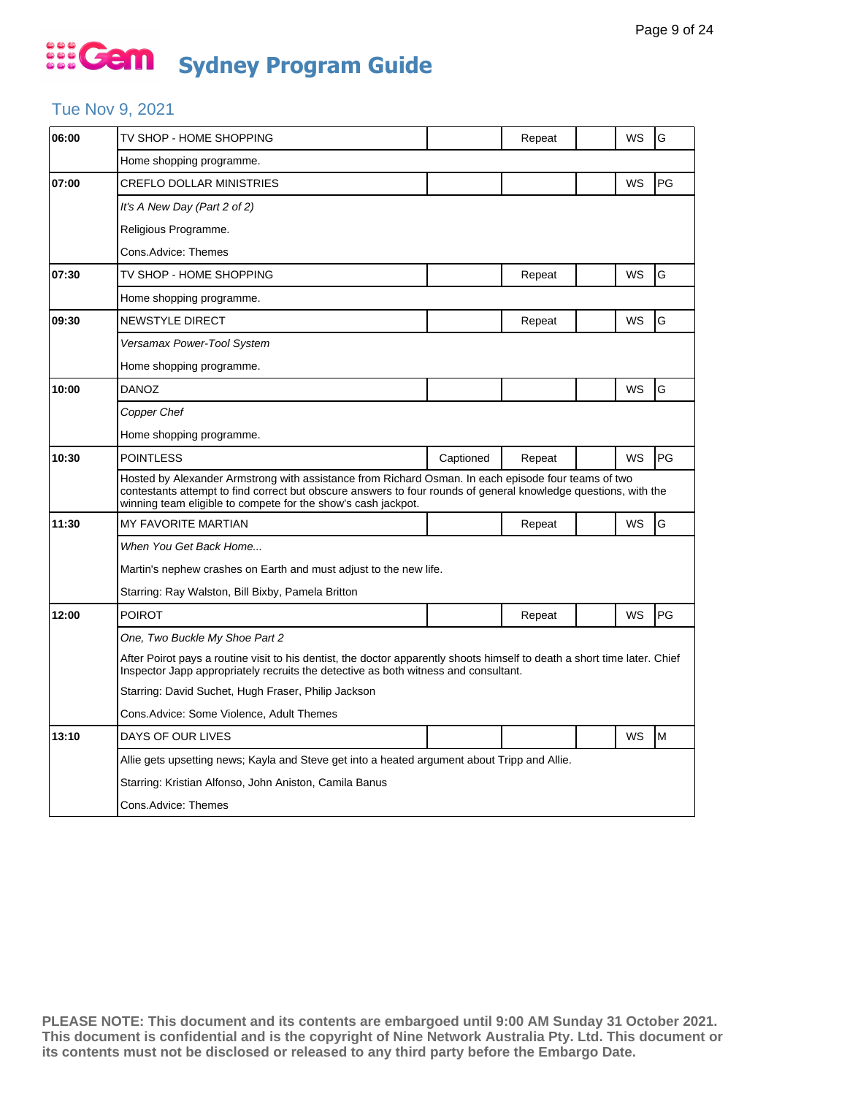### Tue Nov 9, 2021

| 06:00 | TV SHOP - HOME SHOPPING                                                                                                                                                                                                                                                                 |           | Repeat |  | WS | G  |  |  |
|-------|-----------------------------------------------------------------------------------------------------------------------------------------------------------------------------------------------------------------------------------------------------------------------------------------|-----------|--------|--|----|----|--|--|
|       | Home shopping programme.                                                                                                                                                                                                                                                                |           |        |  |    |    |  |  |
| 07:00 | <b>CREFLO DOLLAR MINISTRIES</b>                                                                                                                                                                                                                                                         |           |        |  | WS | PG |  |  |
|       | It's A New Day (Part 2 of 2)                                                                                                                                                                                                                                                            |           |        |  |    |    |  |  |
|       | Religious Programme.                                                                                                                                                                                                                                                                    |           |        |  |    |    |  |  |
|       | Cons.Advice: Themes                                                                                                                                                                                                                                                                     |           |        |  |    |    |  |  |
| 07:30 | TV SHOP - HOME SHOPPING                                                                                                                                                                                                                                                                 |           | Repeat |  | WS | G  |  |  |
|       | Home shopping programme.                                                                                                                                                                                                                                                                |           |        |  |    |    |  |  |
| 09:30 | NEWSTYLE DIRECT                                                                                                                                                                                                                                                                         |           | Repeat |  | WS | G  |  |  |
|       | Versamax Power-Tool System                                                                                                                                                                                                                                                              |           |        |  |    |    |  |  |
|       | Home shopping programme.                                                                                                                                                                                                                                                                |           |        |  |    |    |  |  |
| 10:00 | <b>DANOZ</b>                                                                                                                                                                                                                                                                            |           |        |  | WS | G  |  |  |
|       | Copper Chef                                                                                                                                                                                                                                                                             |           |        |  |    |    |  |  |
|       | Home shopping programme.                                                                                                                                                                                                                                                                |           |        |  |    |    |  |  |
| 10:30 | <b>POINTLESS</b>                                                                                                                                                                                                                                                                        | Captioned | Repeat |  | WS | PG |  |  |
|       | Hosted by Alexander Armstrong with assistance from Richard Osman. In each episode four teams of two<br>contestants attempt to find correct but obscure answers to four rounds of general knowledge questions, with the<br>winning team eligible to compete for the show's cash jackpot. |           |        |  |    |    |  |  |
| 11:30 | MY FAVORITE MARTIAN                                                                                                                                                                                                                                                                     |           | Repeat |  | WS | G  |  |  |
|       | When You Get Back Home                                                                                                                                                                                                                                                                  |           |        |  |    |    |  |  |
|       | Martin's nephew crashes on Earth and must adjust to the new life.                                                                                                                                                                                                                       |           |        |  |    |    |  |  |
|       | Starring: Ray Walston, Bill Bixby, Pamela Britton                                                                                                                                                                                                                                       |           |        |  |    |    |  |  |
| 12:00 | <b>POIROT</b>                                                                                                                                                                                                                                                                           |           | Repeat |  | WS | PG |  |  |
|       | One, Two Buckle My Shoe Part 2                                                                                                                                                                                                                                                          |           |        |  |    |    |  |  |
|       | After Poirot pays a routine visit to his dentist, the doctor apparently shoots himself to death a short time later. Chief<br>Inspector Japp appropriately recruits the detective as both witness and consultant.                                                                        |           |        |  |    |    |  |  |
|       | Starring: David Suchet, Hugh Fraser, Philip Jackson                                                                                                                                                                                                                                     |           |        |  |    |    |  |  |
|       | Cons.Advice: Some Violence, Adult Themes                                                                                                                                                                                                                                                |           |        |  |    |    |  |  |
| 13:10 | DAYS OF OUR LIVES                                                                                                                                                                                                                                                                       |           |        |  | WS | M  |  |  |
|       | Allie gets upsetting news; Kayla and Steve get into a heated argument about Tripp and Allie.                                                                                                                                                                                            |           |        |  |    |    |  |  |
|       | Starring: Kristian Alfonso, John Aniston, Camila Banus                                                                                                                                                                                                                                  |           |        |  |    |    |  |  |
|       | Cons.Advice: Themes                                                                                                                                                                                                                                                                     |           |        |  |    |    |  |  |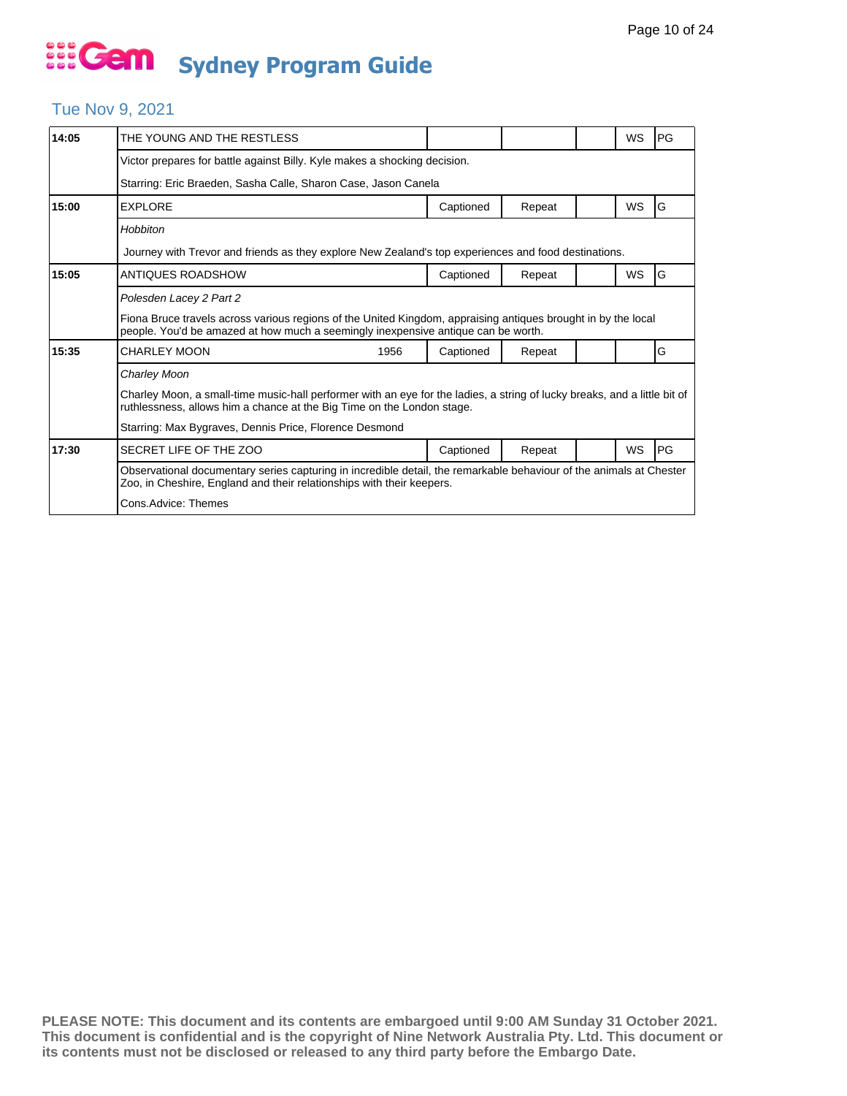### Tue Nov 9, 2021

| 14:05 | THE YOUNG AND THE RESTLESS                                                                                                                                                                          |           |        |  | WS        | PG |  |  |
|-------|-----------------------------------------------------------------------------------------------------------------------------------------------------------------------------------------------------|-----------|--------|--|-----------|----|--|--|
|       | Victor prepares for battle against Billy. Kyle makes a shocking decision.                                                                                                                           |           |        |  |           |    |  |  |
|       | Starring: Eric Braeden, Sasha Calle, Sharon Case, Jason Canela                                                                                                                                      |           |        |  |           |    |  |  |
| 15:00 | <b>EXPLORE</b>                                                                                                                                                                                      | Captioned | Repeat |  | WS        | G  |  |  |
|       | Hobbiton                                                                                                                                                                                            |           |        |  |           |    |  |  |
|       | Journey with Trevor and friends as they explore New Zealand's top experiences and food destinations.                                                                                                |           |        |  |           |    |  |  |
| 15:05 | ANTIQUES ROADSHOW                                                                                                                                                                                   | Captioned | Repeat |  | <b>WS</b> | G  |  |  |
|       | Polesden Lacey 2 Part 2                                                                                                                                                                             |           |        |  |           |    |  |  |
|       | Fiona Bruce travels across various regions of the United Kingdom, appraising antiques brought in by the local<br>people. You'd be amazed at how much a seemingly inexpensive antique can be worth.  |           |        |  |           |    |  |  |
| 15:35 | <b>CHARLEY MOON</b><br>1956                                                                                                                                                                         | Captioned | Repeat |  |           | G  |  |  |
|       | Charley Moon                                                                                                                                                                                        |           |        |  |           |    |  |  |
|       | Charley Moon, a small-time music-hall performer with an eye for the ladies, a string of lucky breaks, and a little bit of<br>ruthlessness, allows him a chance at the Big Time on the London stage. |           |        |  |           |    |  |  |
|       | Starring: Max Bygraves, Dennis Price, Florence Desmond                                                                                                                                              |           |        |  |           |    |  |  |
| 17:30 | SECRET LIFE OF THE ZOO                                                                                                                                                                              | Captioned | Repeat |  | WS        | PG |  |  |
|       | Observational documentary series capturing in incredible detail, the remarkable behaviour of the animals at Chester<br>Zoo, in Cheshire, England and their relationships with their keepers.        |           |        |  |           |    |  |  |
|       | Cons.Advice: Themes                                                                                                                                                                                 |           |        |  |           |    |  |  |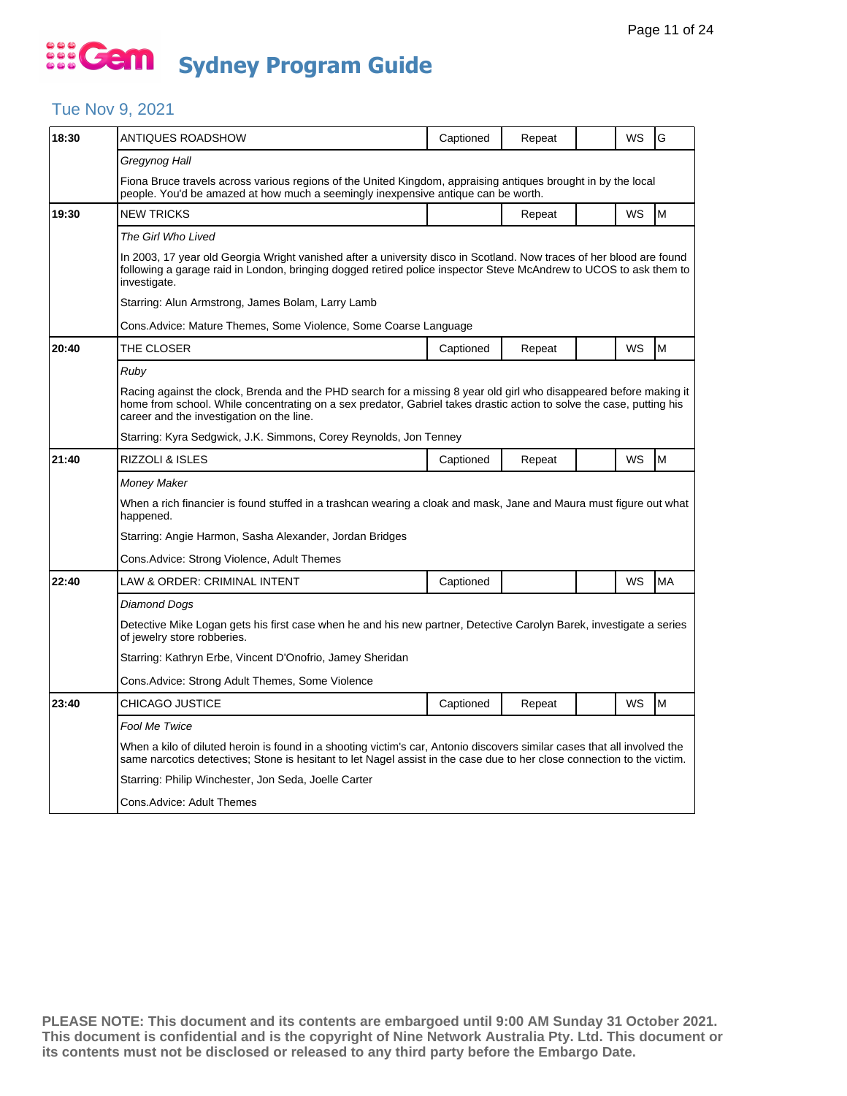### Tue Nov 9, 2021

| 18:30 | ANTIQUES ROADSHOW                                                                                                                                                                                                                                                                       | Captioned | Repeat |  | WS | G  |  |  |
|-------|-----------------------------------------------------------------------------------------------------------------------------------------------------------------------------------------------------------------------------------------------------------------------------------------|-----------|--------|--|----|----|--|--|
|       | Gregynog Hall                                                                                                                                                                                                                                                                           |           |        |  |    |    |  |  |
|       | Fiona Bruce travels across various regions of the United Kingdom, appraising antiques brought in by the local<br>people. You'd be amazed at how much a seemingly inexpensive antique can be worth.                                                                                      |           |        |  |    |    |  |  |
| 19:30 | <b>NEW TRICKS</b>                                                                                                                                                                                                                                                                       |           | Repeat |  | WS | M  |  |  |
|       | The Girl Who Lived                                                                                                                                                                                                                                                                      |           |        |  |    |    |  |  |
|       | In 2003, 17 year old Georgia Wright vanished after a university disco in Scotland. Now traces of her blood are found<br>following a garage raid in London, bringing dogged retired police inspector Steve McAndrew to UCOS to ask them to<br>investigate.                               |           |        |  |    |    |  |  |
|       | Starring: Alun Armstrong, James Bolam, Larry Lamb                                                                                                                                                                                                                                       |           |        |  |    |    |  |  |
|       | Cons.Advice: Mature Themes, Some Violence, Some Coarse Language                                                                                                                                                                                                                         |           |        |  |    |    |  |  |
| 20:40 | THE CLOSER                                                                                                                                                                                                                                                                              | Captioned | Repeat |  | WS | M  |  |  |
|       | Ruby                                                                                                                                                                                                                                                                                    |           |        |  |    |    |  |  |
|       | Racing against the clock, Brenda and the PHD search for a missing 8 year old girl who disappeared before making it<br>home from school. While concentrating on a sex predator, Gabriel takes drastic action to solve the case, putting his<br>career and the investigation on the line. |           |        |  |    |    |  |  |
|       | Starring: Kyra Sedgwick, J.K. Simmons, Corey Reynolds, Jon Tenney                                                                                                                                                                                                                       |           |        |  |    |    |  |  |
| 21:40 | RIZZOLI & ISLES                                                                                                                                                                                                                                                                         | Captioned | Repeat |  | WS | M  |  |  |
|       | <b>Money Maker</b>                                                                                                                                                                                                                                                                      |           |        |  |    |    |  |  |
|       | When a rich financier is found stuffed in a trashcan wearing a cloak and mask, Jane and Maura must figure out what<br>happened.                                                                                                                                                         |           |        |  |    |    |  |  |
|       | Starring: Angie Harmon, Sasha Alexander, Jordan Bridges                                                                                                                                                                                                                                 |           |        |  |    |    |  |  |
|       | Cons. Advice: Strong Violence, Adult Themes                                                                                                                                                                                                                                             |           |        |  |    |    |  |  |
| 22:40 | LAW & ORDER: CRIMINAL INTENT                                                                                                                                                                                                                                                            | Captioned |        |  | WS | MA |  |  |
|       | Diamond Dogs                                                                                                                                                                                                                                                                            |           |        |  |    |    |  |  |
|       | Detective Mike Logan gets his first case when he and his new partner, Detective Carolyn Barek, investigate a series<br>of jewelry store robberies.                                                                                                                                      |           |        |  |    |    |  |  |
|       | Starring: Kathryn Erbe, Vincent D'Onofrio, Jamey Sheridan                                                                                                                                                                                                                               |           |        |  |    |    |  |  |
|       | Cons. Advice: Strong Adult Themes, Some Violence                                                                                                                                                                                                                                        |           |        |  |    |    |  |  |
| 23:40 | <b>CHICAGO JUSTICE</b>                                                                                                                                                                                                                                                                  | Captioned | Repeat |  | WS | M  |  |  |
|       | Fool Me Twice                                                                                                                                                                                                                                                                           |           |        |  |    |    |  |  |
|       | When a kilo of diluted heroin is found in a shooting victim's car, Antonio discovers similar cases that all involved the<br>same narcotics detectives; Stone is hesitant to let Nagel assist in the case due to her close connection to the victim.                                     |           |        |  |    |    |  |  |
|       | Starring: Philip Winchester, Jon Seda, Joelle Carter                                                                                                                                                                                                                                    |           |        |  |    |    |  |  |
|       | Cons.Advice: Adult Themes                                                                                                                                                                                                                                                               |           |        |  |    |    |  |  |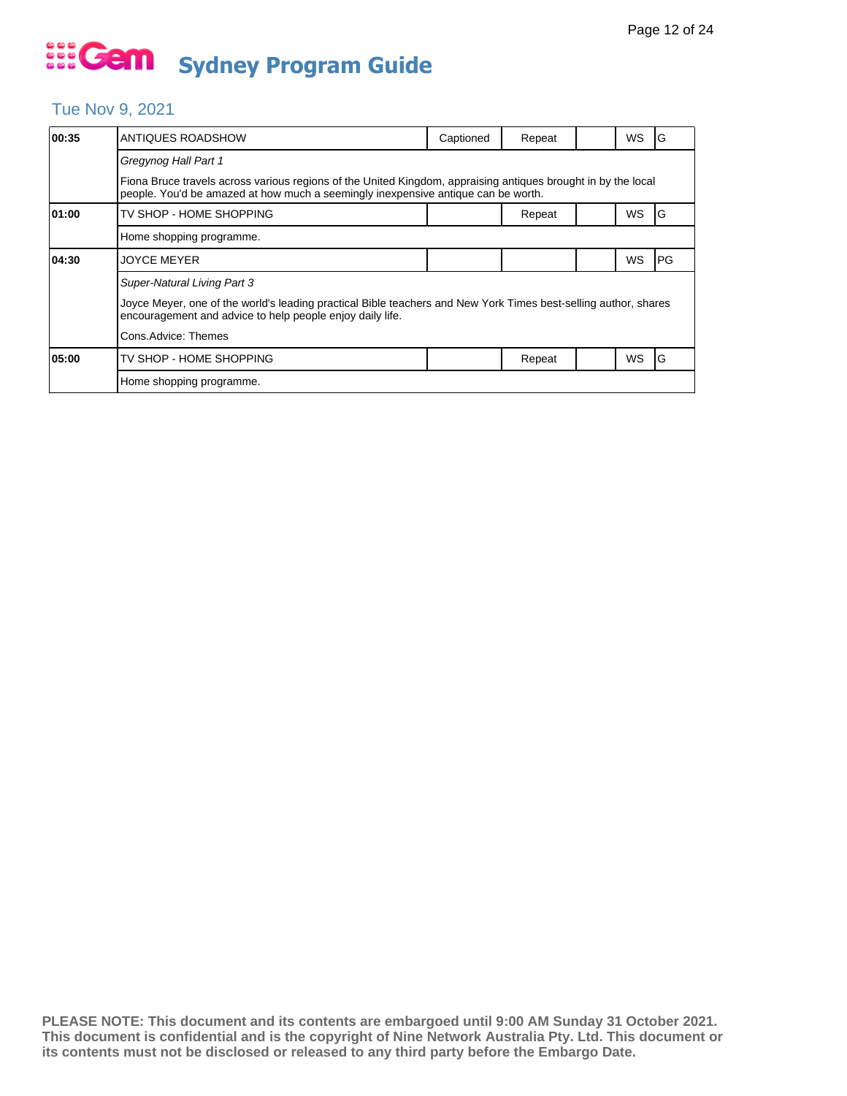### Tue Nov 9, 2021

| 00:35 | ANTIQUES ROADSHOW                                                                                                                                                                                  | Captioned | Repeat |  | WS        | G    |  |  |  |
|-------|----------------------------------------------------------------------------------------------------------------------------------------------------------------------------------------------------|-----------|--------|--|-----------|------|--|--|--|
|       | Gregynog Hall Part 1                                                                                                                                                                               |           |        |  |           |      |  |  |  |
|       | Fiona Bruce travels across various regions of the United Kingdom, appraising antiques brought in by the local<br>people. You'd be amazed at how much a seemingly inexpensive antique can be worth. |           |        |  |           |      |  |  |  |
| 01:00 | TV SHOP - HOME SHOPPING                                                                                                                                                                            |           | Repeat |  | WS        | G    |  |  |  |
|       | Home shopping programme.                                                                                                                                                                           |           |        |  |           |      |  |  |  |
| 04:30 | <b>JOYCE MEYER</b>                                                                                                                                                                                 |           |        |  | WS        | IPG. |  |  |  |
|       | Super-Natural Living Part 3                                                                                                                                                                        |           |        |  |           |      |  |  |  |
|       | Joyce Meyer, one of the world's leading practical Bible teachers and New York Times best-selling author, shares<br>encouragement and advice to help people enjoy daily life.                       |           |        |  |           |      |  |  |  |
|       | Cons.Advice: Themes                                                                                                                                                                                |           |        |  |           |      |  |  |  |
| 05:00 | TV SHOP - HOME SHOPPING                                                                                                                                                                            |           | Repeat |  | <b>WS</b> | IG   |  |  |  |
|       | Home shopping programme.                                                                                                                                                                           |           |        |  |           |      |  |  |  |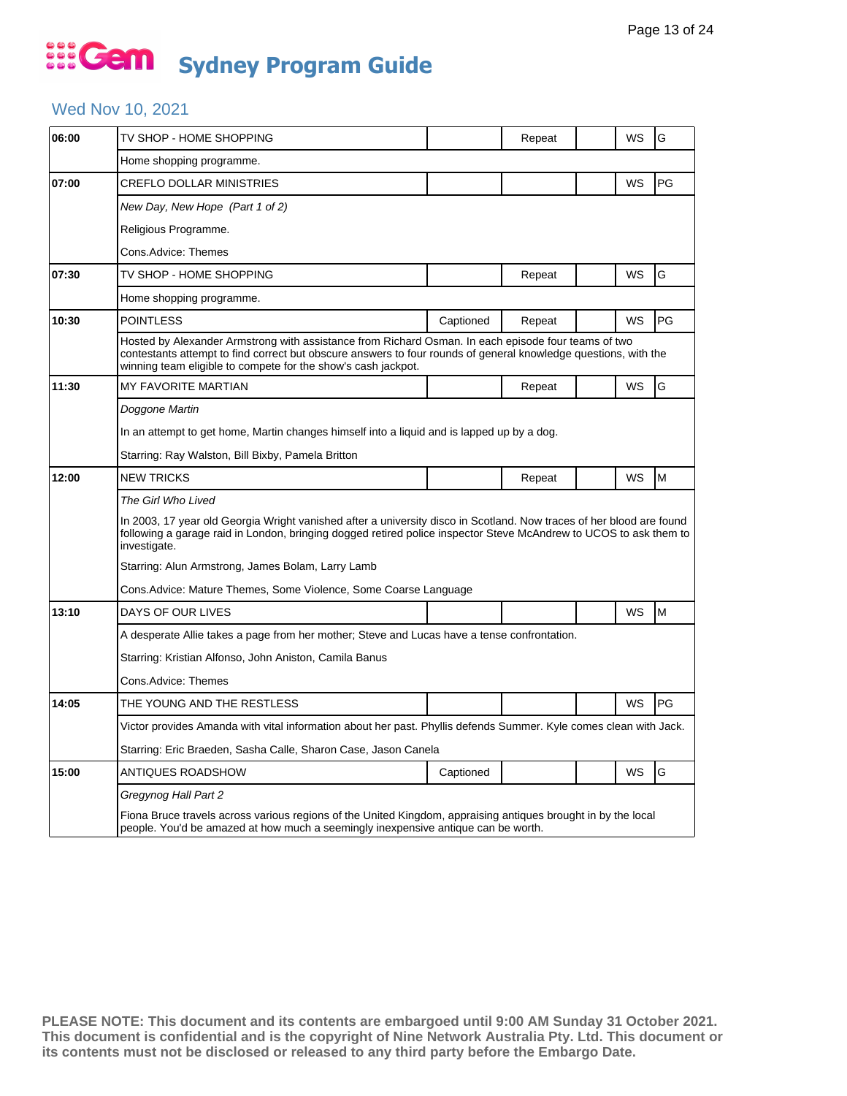#### Wed Nov 10, 2021

| 06:00 | TV SHOP - HOME SHOPPING                                                                                                                                                                                                                                                                 |                                                                                                                   | Repeat |  | WS | G  |  |  |
|-------|-----------------------------------------------------------------------------------------------------------------------------------------------------------------------------------------------------------------------------------------------------------------------------------------|-------------------------------------------------------------------------------------------------------------------|--------|--|----|----|--|--|
|       | Home shopping programme.                                                                                                                                                                                                                                                                |                                                                                                                   |        |  |    |    |  |  |
| 07:00 | CREFLO DOLLAR MINISTRIES                                                                                                                                                                                                                                                                |                                                                                                                   |        |  | WS | PG |  |  |
|       | New Day, New Hope (Part 1 of 2)                                                                                                                                                                                                                                                         |                                                                                                                   |        |  |    |    |  |  |
|       | Religious Programme.                                                                                                                                                                                                                                                                    |                                                                                                                   |        |  |    |    |  |  |
|       | Cons.Advice: Themes                                                                                                                                                                                                                                                                     |                                                                                                                   |        |  |    |    |  |  |
| 07:30 | TV SHOP - HOME SHOPPING                                                                                                                                                                                                                                                                 |                                                                                                                   | Repeat |  | WS | G  |  |  |
|       | Home shopping programme.                                                                                                                                                                                                                                                                |                                                                                                                   |        |  |    |    |  |  |
| 10:30 | <b>POINTLESS</b>                                                                                                                                                                                                                                                                        | Captioned                                                                                                         | Repeat |  | WS | PG |  |  |
|       | Hosted by Alexander Armstrong with assistance from Richard Osman. In each episode four teams of two<br>contestants attempt to find correct but obscure answers to four rounds of general knowledge questions, with the<br>winning team eligible to compete for the show's cash jackpot. |                                                                                                                   |        |  |    |    |  |  |
| 11:30 | <b>MY FAVORITE MARTIAN</b>                                                                                                                                                                                                                                                              |                                                                                                                   | Repeat |  | WS | G  |  |  |
|       | Doggone Martin                                                                                                                                                                                                                                                                          |                                                                                                                   |        |  |    |    |  |  |
|       | In an attempt to get home, Martin changes himself into a liquid and is lapped up by a dog.                                                                                                                                                                                              |                                                                                                                   |        |  |    |    |  |  |
|       | Starring: Ray Walston, Bill Bixby, Pamela Britton                                                                                                                                                                                                                                       |                                                                                                                   |        |  |    |    |  |  |
| 12:00 | <b>NEW TRICKS</b>                                                                                                                                                                                                                                                                       |                                                                                                                   | Repeat |  | WS | M  |  |  |
|       | The Girl Who Lived                                                                                                                                                                                                                                                                      |                                                                                                                   |        |  |    |    |  |  |
|       | In 2003, 17 year old Georgia Wright vanished after a university disco in Scotland. Now traces of her blood are found<br>following a garage raid in London, bringing dogged retired police inspector Steve McAndrew to UCOS to ask them to<br>investigate.                               |                                                                                                                   |        |  |    |    |  |  |
|       | Starring: Alun Armstrong, James Bolam, Larry Lamb                                                                                                                                                                                                                                       |                                                                                                                   |        |  |    |    |  |  |
|       | Cons.Advice: Mature Themes, Some Violence, Some Coarse Language                                                                                                                                                                                                                         |                                                                                                                   |        |  |    |    |  |  |
| 13:10 | DAYS OF OUR LIVES                                                                                                                                                                                                                                                                       |                                                                                                                   |        |  | WS | M  |  |  |
|       | A desperate Allie takes a page from her mother; Steve and Lucas have a tense confrontation.                                                                                                                                                                                             |                                                                                                                   |        |  |    |    |  |  |
|       | Starring: Kristian Alfonso, John Aniston, Camila Banus                                                                                                                                                                                                                                  |                                                                                                                   |        |  |    |    |  |  |
|       | Cons.Advice: Themes                                                                                                                                                                                                                                                                     |                                                                                                                   |        |  |    |    |  |  |
| 14:05 | THE YOUNG AND THE RESTLESS                                                                                                                                                                                                                                                              |                                                                                                                   |        |  | WS | PG |  |  |
|       |                                                                                                                                                                                                                                                                                         | Victor provides Amanda with vital information about her past. Phyllis defends Summer. Kyle comes clean with Jack. |        |  |    |    |  |  |
|       | Starring: Eric Braeden, Sasha Calle, Sharon Case, Jason Canela                                                                                                                                                                                                                          |                                                                                                                   |        |  |    |    |  |  |
| 15:00 | ANTIQUES ROADSHOW                                                                                                                                                                                                                                                                       | Captioned                                                                                                         |        |  | WS | G  |  |  |
|       | Gregynog Hall Part 2                                                                                                                                                                                                                                                                    |                                                                                                                   |        |  |    |    |  |  |
|       | Fiona Bruce travels across various regions of the United Kingdom, appraising antiques brought in by the local<br>people. You'd be amazed at how much a seemingly inexpensive antique can be worth.                                                                                      |                                                                                                                   |        |  |    |    |  |  |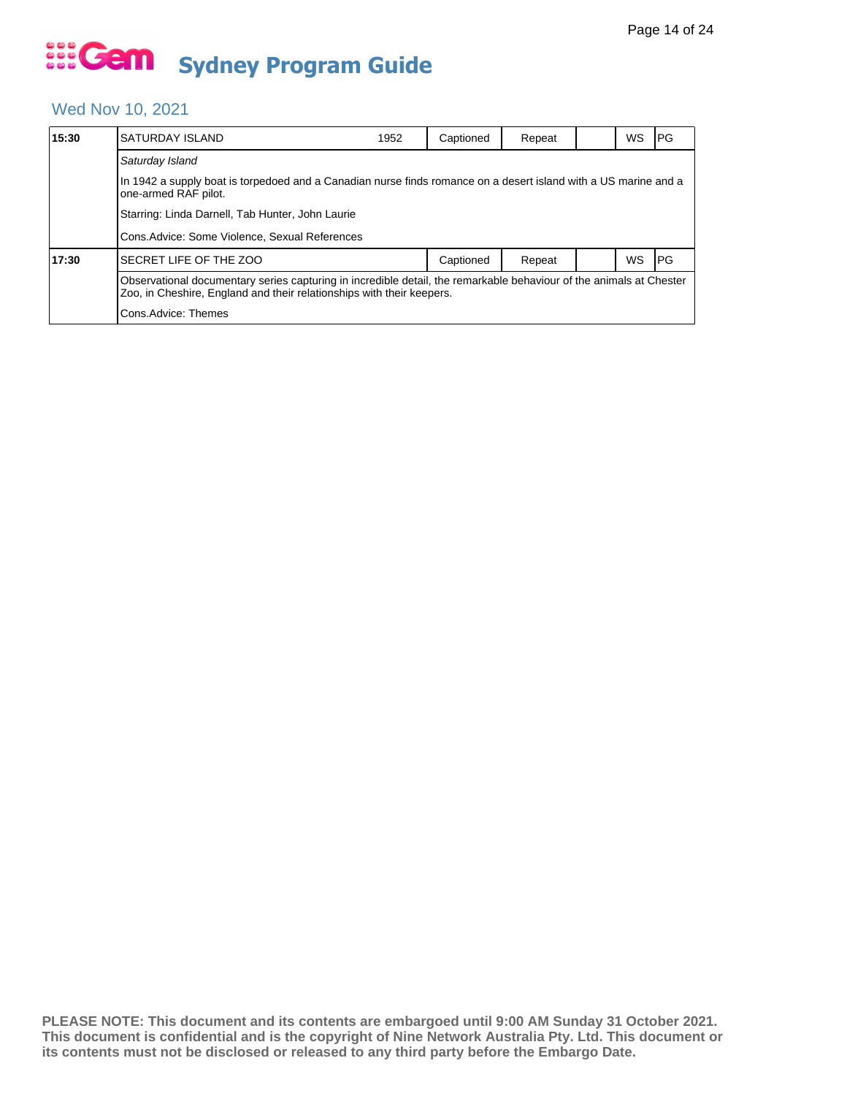#### Wed Nov 10, 2021

| 15:30 | SATURDAY ISLAND                                                                                                                                                                              | 1952 | Captioned | Repeat |  | WS | IPG. |  |  |
|-------|----------------------------------------------------------------------------------------------------------------------------------------------------------------------------------------------|------|-----------|--------|--|----|------|--|--|
|       | Saturday Island                                                                                                                                                                              |      |           |        |  |    |      |  |  |
|       | In 1942 a supply boat is torpedoed and a Canadian nurse finds romance on a desert island with a US marine and a<br>one-armed RAF pilot.                                                      |      |           |        |  |    |      |  |  |
|       | Starring: Linda Darnell, Tab Hunter, John Laurie                                                                                                                                             |      |           |        |  |    |      |  |  |
|       | Cons. Advice: Some Violence, Sexual References                                                                                                                                               |      |           |        |  |    |      |  |  |
| 17:30 | SECRET LIFE OF THE ZOO                                                                                                                                                                       |      | Captioned | Repeat |  | WS | l PG |  |  |
|       | Observational documentary series capturing in incredible detail, the remarkable behaviour of the animals at Chester<br>Zoo, in Cheshire, England and their relationships with their keepers. |      |           |        |  |    |      |  |  |
|       | Cons.Advice: Themes                                                                                                                                                                          |      |           |        |  |    |      |  |  |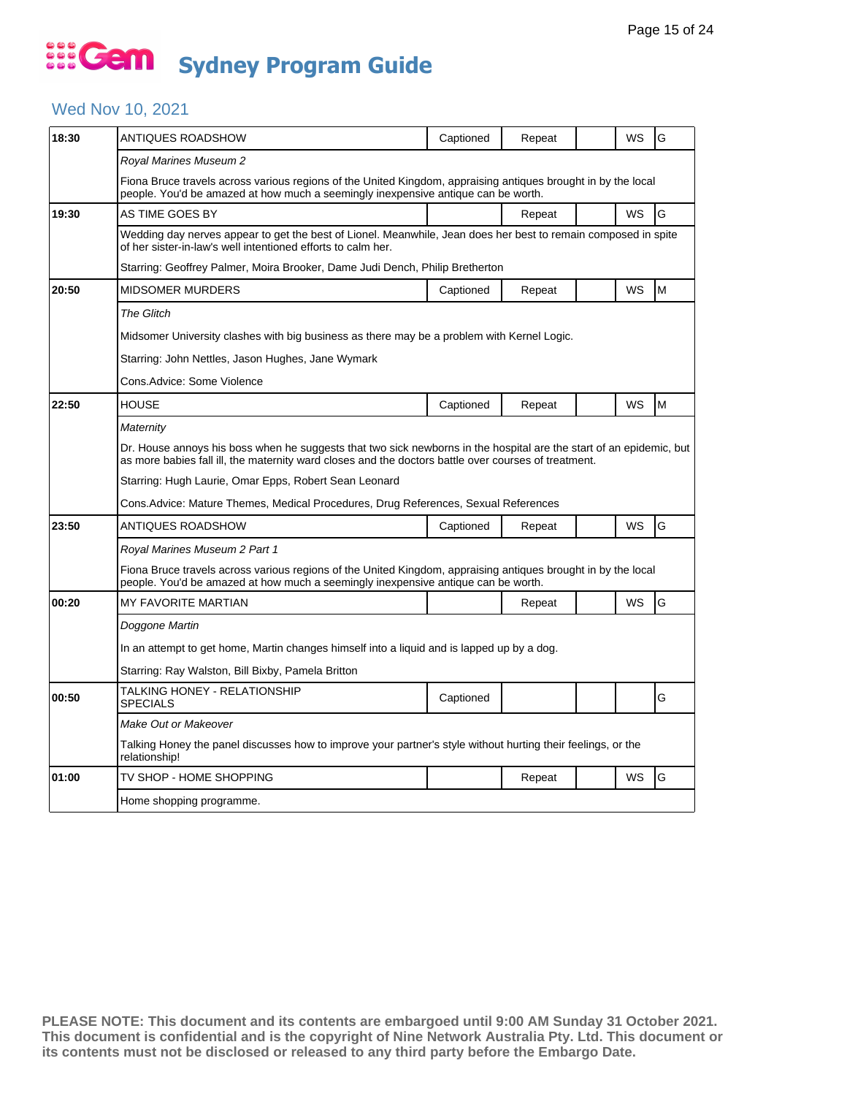#### Wed Nov 10, 2021

| 18:30 | ANTIQUES ROADSHOW                                                                                                                                                                                                           | Captioned | Repeat |  | WS | G |  |  |
|-------|-----------------------------------------------------------------------------------------------------------------------------------------------------------------------------------------------------------------------------|-----------|--------|--|----|---|--|--|
|       | Royal Marines Museum 2                                                                                                                                                                                                      |           |        |  |    |   |  |  |
|       | Fiona Bruce travels across various regions of the United Kingdom, appraising antiques brought in by the local<br>people. You'd be amazed at how much a seemingly inexpensive antique can be worth.                          |           |        |  |    |   |  |  |
| 19:30 | AS TIME GOES BY                                                                                                                                                                                                             |           | Repeat |  | WS | G |  |  |
|       | Wedding day nerves appear to get the best of Lionel. Meanwhile, Jean does her best to remain composed in spite<br>of her sister-in-law's well intentioned efforts to calm her.                                              |           |        |  |    |   |  |  |
|       | Starring: Geoffrey Palmer, Moira Brooker, Dame Judi Dench, Philip Bretherton                                                                                                                                                |           |        |  |    |   |  |  |
| 20:50 | <b>MIDSOMER MURDERS</b>                                                                                                                                                                                                     | Captioned | Repeat |  | WS | M |  |  |
|       | <b>The Glitch</b>                                                                                                                                                                                                           |           |        |  |    |   |  |  |
|       | Midsomer University clashes with big business as there may be a problem with Kernel Logic.                                                                                                                                  |           |        |  |    |   |  |  |
|       | Starring: John Nettles, Jason Hughes, Jane Wymark                                                                                                                                                                           |           |        |  |    |   |  |  |
|       | Cons.Advice: Some Violence                                                                                                                                                                                                  |           |        |  |    |   |  |  |
| 22:50 | <b>HOUSE</b>                                                                                                                                                                                                                | Captioned | Repeat |  | WS | M |  |  |
|       | Maternity                                                                                                                                                                                                                   |           |        |  |    |   |  |  |
|       | Dr. House annoys his boss when he suggests that two sick newborns in the hospital are the start of an epidemic, but<br>as more babies fall ill, the maternity ward closes and the doctors battle over courses of treatment. |           |        |  |    |   |  |  |
|       | Starring: Hugh Laurie, Omar Epps, Robert Sean Leonard                                                                                                                                                                       |           |        |  |    |   |  |  |
|       | Cons.Advice: Mature Themes, Medical Procedures, Drug References, Sexual References                                                                                                                                          |           |        |  |    |   |  |  |
| 23:50 | ANTIQUES ROADSHOW                                                                                                                                                                                                           | Captioned | Repeat |  | WS | G |  |  |
|       | Royal Marines Museum 2 Part 1                                                                                                                                                                                               |           |        |  |    |   |  |  |
|       | Fiona Bruce travels across various regions of the United Kingdom, appraising antiques brought in by the local<br>people. You'd be amazed at how much a seemingly inexpensive antique can be worth.                          |           |        |  |    |   |  |  |
| 00:20 | MY FAVORITE MARTIAN                                                                                                                                                                                                         |           | Repeat |  | WS | G |  |  |
|       | Doggone Martin                                                                                                                                                                                                              |           |        |  |    |   |  |  |
|       | In an attempt to get home, Martin changes himself into a liguid and is lapped up by a dog.                                                                                                                                  |           |        |  |    |   |  |  |
|       | Starring: Ray Walston, Bill Bixby, Pamela Britton                                                                                                                                                                           |           |        |  |    |   |  |  |
| 00:50 | TALKING HONEY - RELATIONSHIP<br>SPECIALS                                                                                                                                                                                    | Captioned |        |  |    | G |  |  |
|       | Make Out or Makeover                                                                                                                                                                                                        |           |        |  |    |   |  |  |
|       | Talking Honey the panel discusses how to improve your partner's style without hurting their feelings, or the<br>relationship!                                                                                               |           |        |  |    |   |  |  |
| 01:00 | TV SHOP - HOME SHOPPING                                                                                                                                                                                                     |           | Repeat |  | WS | G |  |  |
|       | Home shopping programme.                                                                                                                                                                                                    |           |        |  |    |   |  |  |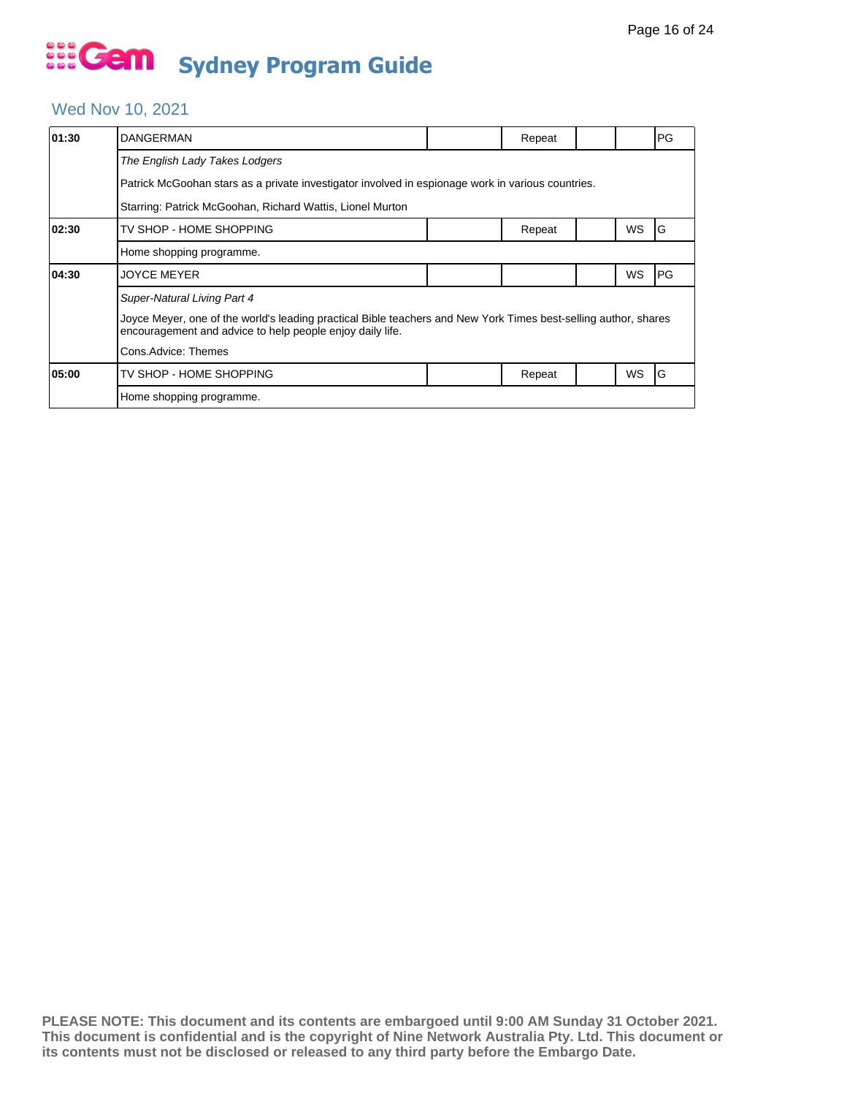### Wed Nov 10, 2021

| 01:30                                                     | <b>DANGERMAN</b>                                                                                                                                                             |  | Repeat |  |    | PG         |  |  |  |
|-----------------------------------------------------------|------------------------------------------------------------------------------------------------------------------------------------------------------------------------------|--|--------|--|----|------------|--|--|--|
|                                                           | The English Lady Takes Lodgers                                                                                                                                               |  |        |  |    |            |  |  |  |
|                                                           | Patrick McGoohan stars as a private investigator involved in espionage work in various countries.                                                                            |  |        |  |    |            |  |  |  |
| Starring: Patrick McGoohan, Richard Wattis, Lionel Murton |                                                                                                                                                                              |  |        |  |    |            |  |  |  |
| 02:30                                                     | TV SHOP - HOME SHOPPING                                                                                                                                                      |  | Repeat |  | WS | G          |  |  |  |
|                                                           | Home shopping programme.                                                                                                                                                     |  |        |  |    |            |  |  |  |
| 04:30                                                     | <b>JOYCE MEYER</b>                                                                                                                                                           |  |        |  | WS | <b>IPG</b> |  |  |  |
|                                                           | Super-Natural Living Part 4                                                                                                                                                  |  |        |  |    |            |  |  |  |
|                                                           | Joyce Meyer, one of the world's leading practical Bible teachers and New York Times best-selling author, shares<br>encouragement and advice to help people enjoy daily life. |  |        |  |    |            |  |  |  |
|                                                           | Cons.Advice: Themes                                                                                                                                                          |  |        |  |    |            |  |  |  |
| 05:00                                                     | TV SHOP - HOME SHOPPING                                                                                                                                                      |  | Repeat |  | WS | ١G         |  |  |  |
|                                                           | Home shopping programme.                                                                                                                                                     |  |        |  |    |            |  |  |  |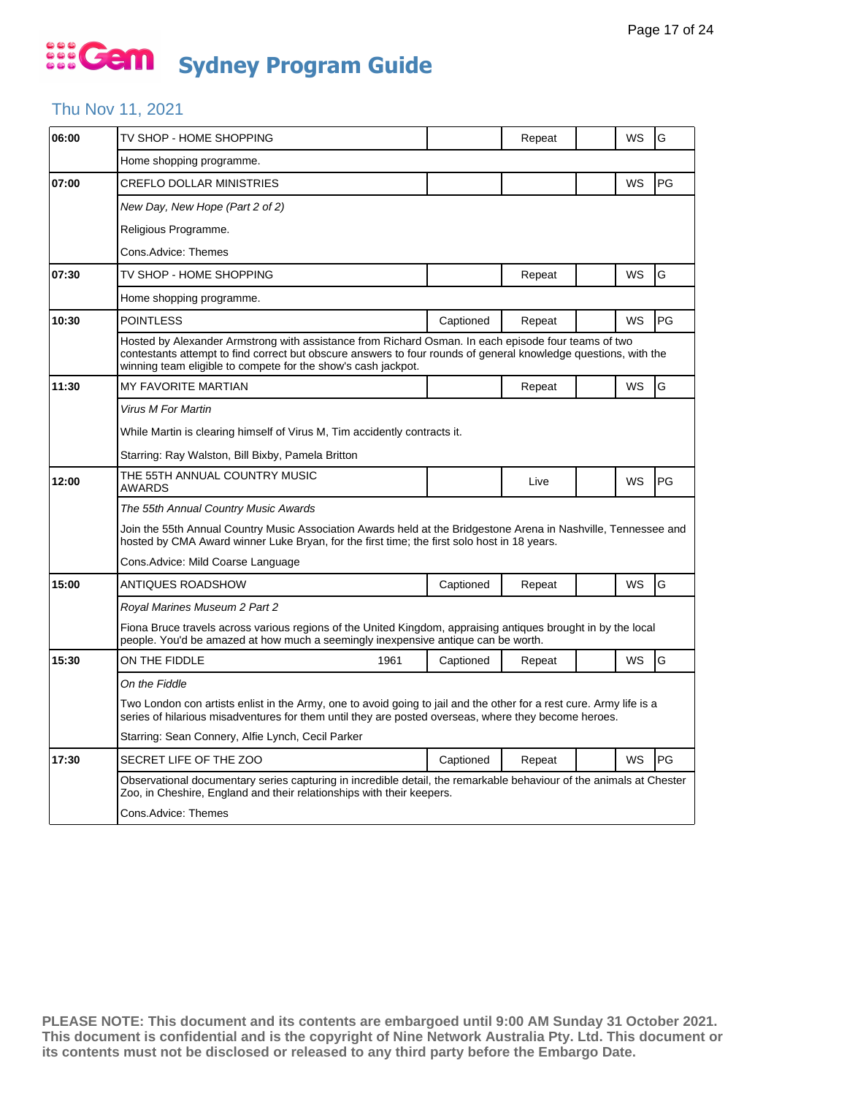### Thu Nov 11, 2021

| 06:00 | TV SHOP - HOME SHOPPING                                                                                                                                                                                                                                                                 |           | Repeat |  | WS | G  |  |  |
|-------|-----------------------------------------------------------------------------------------------------------------------------------------------------------------------------------------------------------------------------------------------------------------------------------------|-----------|--------|--|----|----|--|--|
|       | Home shopping programme.                                                                                                                                                                                                                                                                |           |        |  |    |    |  |  |
| 07:00 | CREFLO DOLLAR MINISTRIES                                                                                                                                                                                                                                                                |           |        |  | WS | PG |  |  |
|       | New Day, New Hope (Part 2 of 2)                                                                                                                                                                                                                                                         |           |        |  |    |    |  |  |
|       | Religious Programme.                                                                                                                                                                                                                                                                    |           |        |  |    |    |  |  |
|       | Cons.Advice: Themes                                                                                                                                                                                                                                                                     |           |        |  |    |    |  |  |
| 07:30 | TV SHOP - HOME SHOPPING                                                                                                                                                                                                                                                                 |           | Repeat |  | WS | G  |  |  |
|       | Home shopping programme.                                                                                                                                                                                                                                                                |           |        |  |    |    |  |  |
| 10:30 | <b>POINTLESS</b>                                                                                                                                                                                                                                                                        | Captioned | Repeat |  | WS | PG |  |  |
|       | Hosted by Alexander Armstrong with assistance from Richard Osman. In each episode four teams of two<br>contestants attempt to find correct but obscure answers to four rounds of general knowledge questions, with the<br>winning team eligible to compete for the show's cash jackpot. |           |        |  |    |    |  |  |
| 11:30 | MY FAVORITE MARTIAN                                                                                                                                                                                                                                                                     |           | Repeat |  | WS | G  |  |  |
|       | Virus M For Martin                                                                                                                                                                                                                                                                      |           |        |  |    |    |  |  |
|       | While Martin is clearing himself of Virus M, Tim accidently contracts it.                                                                                                                                                                                                               |           |        |  |    |    |  |  |
|       | Starring: Ray Walston, Bill Bixby, Pamela Britton                                                                                                                                                                                                                                       |           |        |  |    |    |  |  |
| 12:00 | THE 55TH ANNUAL COUNTRY MUSIC<br><b>AWARDS</b>                                                                                                                                                                                                                                          |           | Live   |  | WS | PG |  |  |
|       | The 55th Annual Country Music Awards                                                                                                                                                                                                                                                    |           |        |  |    |    |  |  |
|       | Join the 55th Annual Country Music Association Awards held at the Bridgestone Arena in Nashville. Tennessee and<br>hosted by CMA Award winner Luke Bryan, for the first time; the first solo host in 18 years.                                                                          |           |        |  |    |    |  |  |
|       | Cons.Advice: Mild Coarse Language                                                                                                                                                                                                                                                       |           |        |  |    |    |  |  |
| 15:00 | ANTIQUES ROADSHOW                                                                                                                                                                                                                                                                       | Captioned | Repeat |  | WS | G  |  |  |
|       | Royal Marines Museum 2 Part 2                                                                                                                                                                                                                                                           |           |        |  |    |    |  |  |
|       | Fiona Bruce travels across various regions of the United Kingdom, appraising antiques brought in by the local<br>people. You'd be amazed at how much a seemingly inexpensive antique can be worth.                                                                                      |           |        |  |    |    |  |  |
| 15:30 | ON THE FIDDLE<br>1961                                                                                                                                                                                                                                                                   | Captioned | Repeat |  | WS | G  |  |  |
|       | On the Fiddle                                                                                                                                                                                                                                                                           |           |        |  |    |    |  |  |
|       | Two London con artists enlist in the Army, one to avoid going to jail and the other for a rest cure. Army life is a<br>series of hilarious misadventures for them until they are posted overseas, where they become heroes.                                                             |           |        |  |    |    |  |  |
|       | Starring: Sean Connery, Alfie Lynch, Cecil Parker                                                                                                                                                                                                                                       |           |        |  |    |    |  |  |
| 17:30 | SECRET LIFE OF THE ZOO                                                                                                                                                                                                                                                                  | Captioned | Repeat |  | WS | PG |  |  |
|       | Observational documentary series capturing in incredible detail, the remarkable behaviour of the animals at Chester<br>Zoo, in Cheshire, England and their relationships with their keepers.                                                                                            |           |        |  |    |    |  |  |
|       | Cons.Advice: Themes                                                                                                                                                                                                                                                                     |           |        |  |    |    |  |  |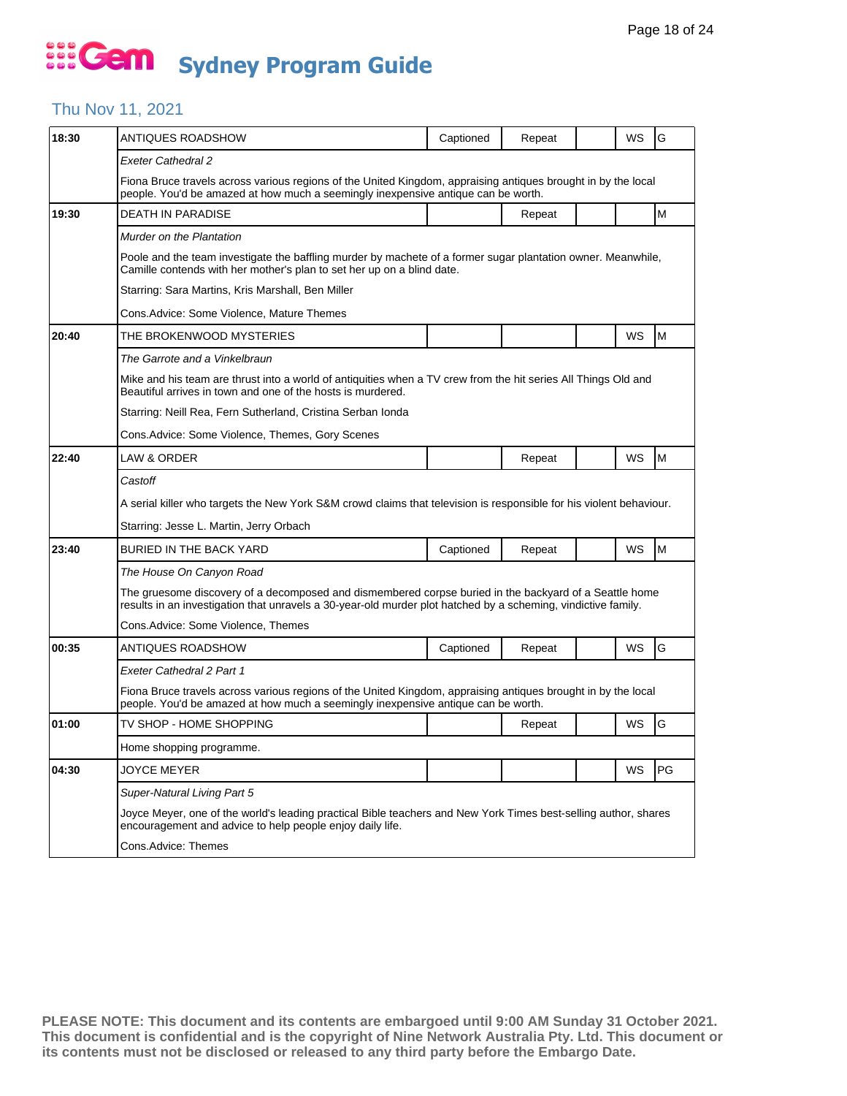### Thu Nov 11, 2021

| 18:30 | ANTIQUES ROADSHOW                                                                                                                                                                                                       | Captioned | Repeat |  | WS        | G  |  |  |  |
|-------|-------------------------------------------------------------------------------------------------------------------------------------------------------------------------------------------------------------------------|-----------|--------|--|-----------|----|--|--|--|
|       | Exeter Cathedral 2                                                                                                                                                                                                      |           |        |  |           |    |  |  |  |
|       | Fiona Bruce travels across various regions of the United Kingdom, appraising antiques brought in by the local<br>people. You'd be amazed at how much a seemingly inexpensive antique can be worth.                      |           |        |  |           |    |  |  |  |
| 19:30 | <b>DEATH IN PARADISE</b>                                                                                                                                                                                                |           | Repeat |  |           | M  |  |  |  |
|       | Murder on the Plantation                                                                                                                                                                                                |           |        |  |           |    |  |  |  |
|       | Poole and the team investigate the baffling murder by machete of a former sugar plantation owner. Meanwhile,<br>Camille contends with her mother's plan to set her up on a blind date.                                  |           |        |  |           |    |  |  |  |
|       | Starring: Sara Martins, Kris Marshall, Ben Miller                                                                                                                                                                       |           |        |  |           |    |  |  |  |
|       | Cons. Advice: Some Violence, Mature Themes                                                                                                                                                                              |           |        |  |           |    |  |  |  |
| 20:40 | THE BROKENWOOD MYSTERIES                                                                                                                                                                                                |           |        |  | <b>WS</b> | M  |  |  |  |
|       | The Garrote and a Vinkelbraun                                                                                                                                                                                           |           |        |  |           |    |  |  |  |
|       | Mike and his team are thrust into a world of antiquities when a TV crew from the hit series All Things Old and<br>Beautiful arrives in town and one of the hosts is murdered.                                           |           |        |  |           |    |  |  |  |
|       | Starring: Neill Rea, Fern Sutherland, Cristina Serban Ionda                                                                                                                                                             |           |        |  |           |    |  |  |  |
|       | Cons.Advice: Some Violence, Themes, Gory Scenes                                                                                                                                                                         |           |        |  |           |    |  |  |  |
| 22:40 | LAW & ORDER                                                                                                                                                                                                             |           | Repeat |  | WS        | M  |  |  |  |
|       | Castoff                                                                                                                                                                                                                 |           |        |  |           |    |  |  |  |
|       | A serial killer who targets the New York S&M crowd claims that television is responsible for his violent behaviour.                                                                                                     |           |        |  |           |    |  |  |  |
|       | Starring: Jesse L. Martin, Jerry Orbach                                                                                                                                                                                 |           |        |  |           |    |  |  |  |
| 23:40 | BURIED IN THE BACK YARD                                                                                                                                                                                                 | Captioned | Repeat |  | WS        | M  |  |  |  |
|       | The House On Canyon Road                                                                                                                                                                                                |           |        |  |           |    |  |  |  |
|       | The gruesome discovery of a decomposed and dismembered corpse buried in the backyard of a Seattle home<br>results in an investigation that unravels a 30-year-old murder plot hatched by a scheming, vindictive family. |           |        |  |           |    |  |  |  |
|       | Cons.Advice: Some Violence, Themes                                                                                                                                                                                      |           |        |  |           |    |  |  |  |
| 00:35 | ANTIQUES ROADSHOW                                                                                                                                                                                                       | Captioned | Repeat |  | WS        | G  |  |  |  |
|       | Exeter Cathedral 2 Part 1                                                                                                                                                                                               |           |        |  |           |    |  |  |  |
|       | Fiona Bruce travels across various regions of the United Kingdom, appraising antiques brought in by the local<br>people. You'd be amazed at how much a seemingly inexpensive antique can be worth.                      |           |        |  |           |    |  |  |  |
| 01:00 | TV SHOP - HOME SHOPPING                                                                                                                                                                                                 |           | Repeat |  | WS        | G  |  |  |  |
|       | Home shopping programme.                                                                                                                                                                                                |           |        |  |           |    |  |  |  |
| 04:30 | JOYCE MEYER                                                                                                                                                                                                             |           |        |  | WS        | PG |  |  |  |
|       | Super-Natural Living Part 5                                                                                                                                                                                             |           |        |  |           |    |  |  |  |
|       | Joyce Meyer, one of the world's leading practical Bible teachers and New York Times best-selling author, shares<br>encouragement and advice to help people enjoy daily life.                                            |           |        |  |           |    |  |  |  |
|       | Cons.Advice: Themes                                                                                                                                                                                                     |           |        |  |           |    |  |  |  |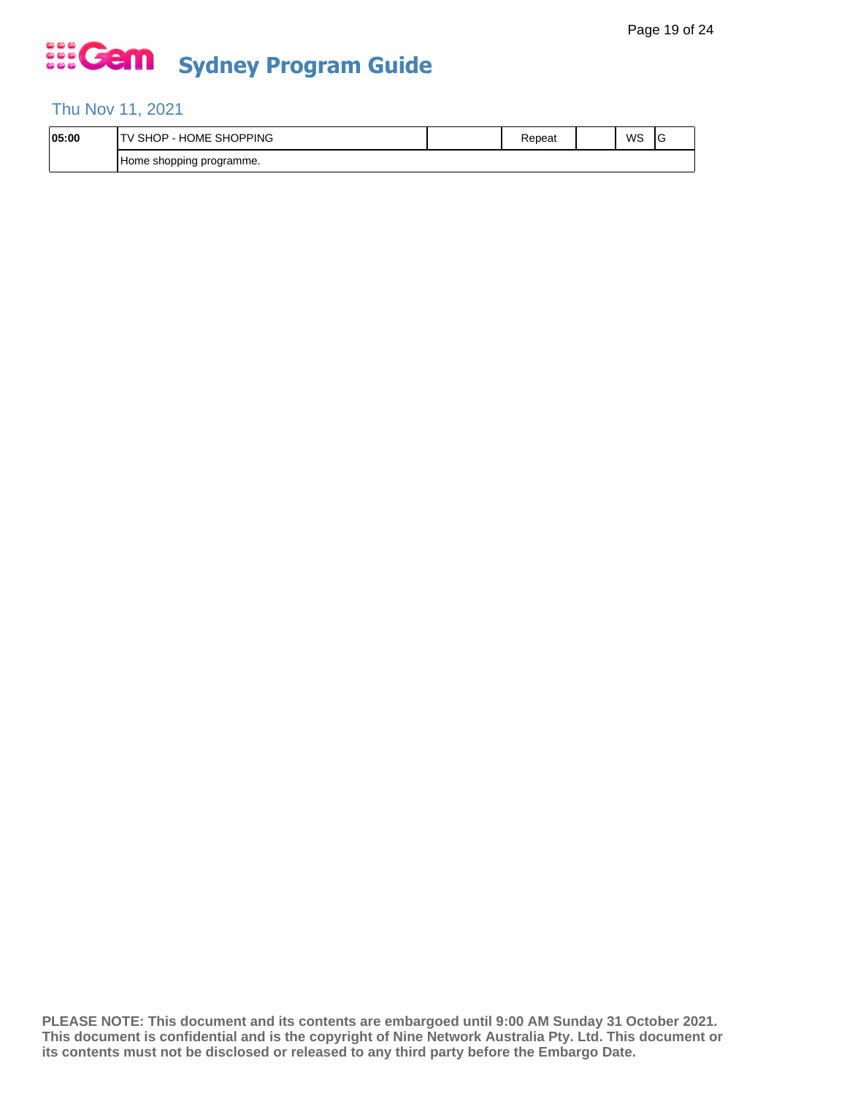### Thu Nov 11, 2021

| 05:00 | <b>SHOPPING</b><br>$\cdots$<br>. ⊣ل<br>SHC.<br>∪ME ∶<br>н٥<br>- | kepeat | WS | ◡ |
|-------|-----------------------------------------------------------------|--------|----|---|
|       | n programme.<br>Home shopping                                   |        |    |   |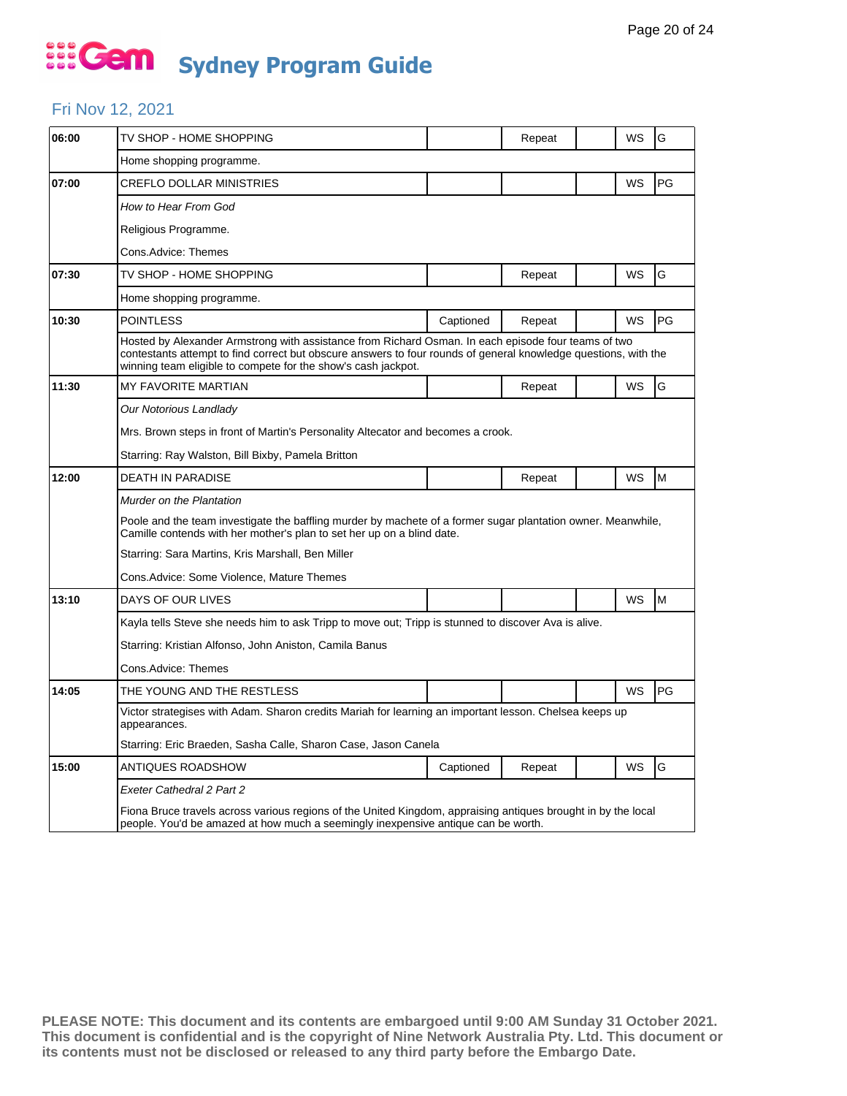#### Fri Nov 12, 2021

| 06:00 | TV SHOP - HOME SHOPPING                                                                                                                                                                                                                                                                 |                                                                                                        | Repeat |  | WS | G  |  |  |
|-------|-----------------------------------------------------------------------------------------------------------------------------------------------------------------------------------------------------------------------------------------------------------------------------------------|--------------------------------------------------------------------------------------------------------|--------|--|----|----|--|--|
|       | Home shopping programme.                                                                                                                                                                                                                                                                |                                                                                                        |        |  |    |    |  |  |
| 07:00 | CREFLO DOLLAR MINISTRIES                                                                                                                                                                                                                                                                |                                                                                                        |        |  | WS | PG |  |  |
|       | How to Hear From God                                                                                                                                                                                                                                                                    |                                                                                                        |        |  |    |    |  |  |
|       | Religious Programme.                                                                                                                                                                                                                                                                    |                                                                                                        |        |  |    |    |  |  |
|       | Cons.Advice: Themes                                                                                                                                                                                                                                                                     |                                                                                                        |        |  |    |    |  |  |
| 07:30 | TV SHOP - HOME SHOPPING                                                                                                                                                                                                                                                                 |                                                                                                        | Repeat |  | WS | G  |  |  |
|       | Home shopping programme.                                                                                                                                                                                                                                                                |                                                                                                        |        |  |    |    |  |  |
| 10:30 | <b>POINTLESS</b>                                                                                                                                                                                                                                                                        | Captioned                                                                                              | Repeat |  | WS | PG |  |  |
|       | Hosted by Alexander Armstrong with assistance from Richard Osman. In each episode four teams of two<br>contestants attempt to find correct but obscure answers to four rounds of general knowledge questions, with the<br>winning team eligible to compete for the show's cash jackpot. |                                                                                                        |        |  |    |    |  |  |
| 11:30 | MY FAVORITE MARTIAN                                                                                                                                                                                                                                                                     |                                                                                                        | Repeat |  | WS | G  |  |  |
|       | Our Notorious Landlady                                                                                                                                                                                                                                                                  |                                                                                                        |        |  |    |    |  |  |
|       | Mrs. Brown steps in front of Martin's Personality Altecator and becomes a crook.                                                                                                                                                                                                        |                                                                                                        |        |  |    |    |  |  |
|       | Starring: Ray Walston, Bill Bixby, Pamela Britton                                                                                                                                                                                                                                       |                                                                                                        |        |  |    |    |  |  |
| 12:00 | <b>DEATH IN PARADISE</b>                                                                                                                                                                                                                                                                |                                                                                                        | Repeat |  | WS | M  |  |  |
|       | Murder on the Plantation                                                                                                                                                                                                                                                                |                                                                                                        |        |  |    |    |  |  |
|       | Poole and the team investigate the baffling murder by machete of a former sugar plantation owner. Meanwhile,<br>Camille contends with her mother's plan to set her up on a blind date.                                                                                                  |                                                                                                        |        |  |    |    |  |  |
|       | Starring: Sara Martins, Kris Marshall, Ben Miller                                                                                                                                                                                                                                       |                                                                                                        |        |  |    |    |  |  |
|       | Cons.Advice: Some Violence, Mature Themes                                                                                                                                                                                                                                               |                                                                                                        |        |  |    |    |  |  |
| 13:10 | DAYS OF OUR LIVES                                                                                                                                                                                                                                                                       |                                                                                                        |        |  | WS | M  |  |  |
|       | Kayla tells Steve she needs him to ask Tripp to move out; Tripp is stunned to discover Ava is alive.                                                                                                                                                                                    |                                                                                                        |        |  |    |    |  |  |
|       | Starring: Kristian Alfonso, John Aniston, Camila Banus                                                                                                                                                                                                                                  |                                                                                                        |        |  |    |    |  |  |
|       | Cons.Advice: Themes                                                                                                                                                                                                                                                                     |                                                                                                        |        |  |    |    |  |  |
| 14:05 | THE YOUNG AND THE RESTLESS                                                                                                                                                                                                                                                              |                                                                                                        |        |  | WS | PG |  |  |
|       | appearances.                                                                                                                                                                                                                                                                            | Victor strategises with Adam. Sharon credits Mariah for learning an important lesson. Chelsea keeps up |        |  |    |    |  |  |
|       | Starring: Eric Braeden, Sasha Calle, Sharon Case, Jason Canela                                                                                                                                                                                                                          |                                                                                                        |        |  |    |    |  |  |
| 15:00 | ANTIQUES ROADSHOW                                                                                                                                                                                                                                                                       | Captioned                                                                                              | Repeat |  | WS | G  |  |  |
|       | Exeter Cathedral 2 Part 2                                                                                                                                                                                                                                                               |                                                                                                        |        |  |    |    |  |  |
|       | Fiona Bruce travels across various regions of the United Kingdom, appraising antiques brought in by the local<br>people. You'd be amazed at how much a seemingly inexpensive antique can be worth.                                                                                      |                                                                                                        |        |  |    |    |  |  |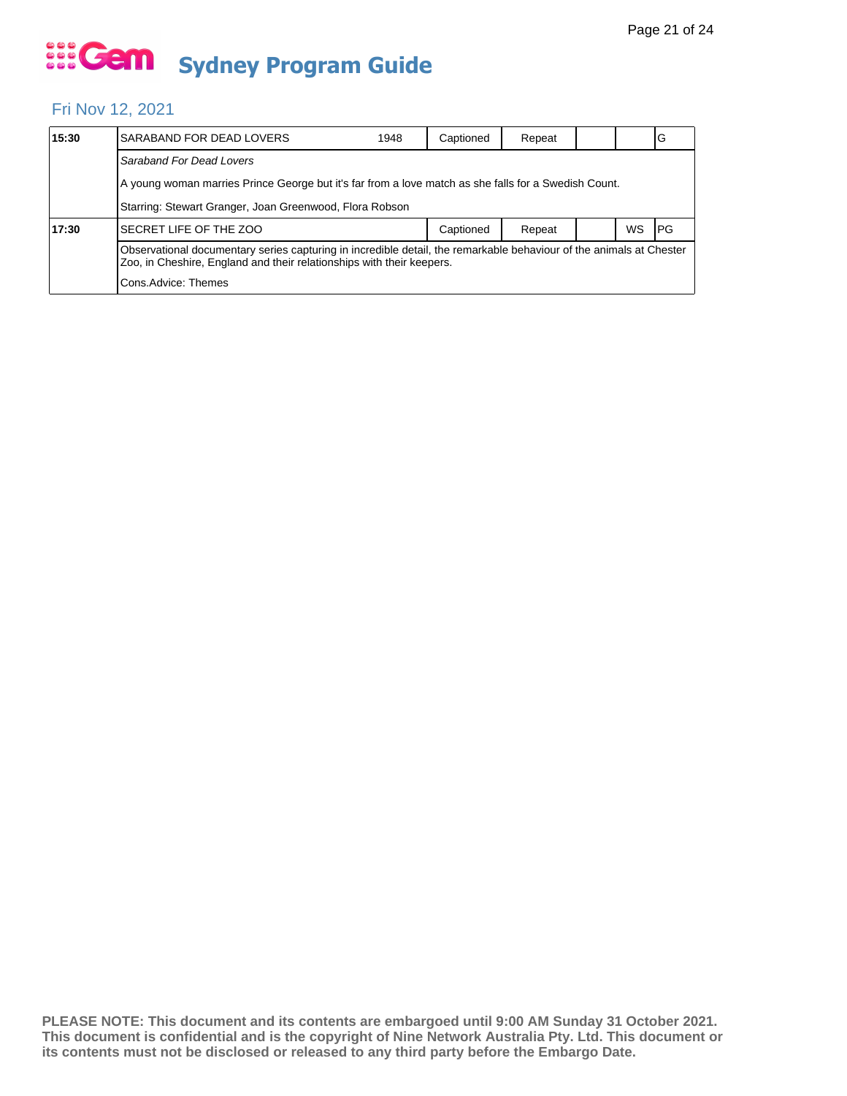#### Fri Nov 12, 2021

| 15:30 | SARABAND FOR DEAD LOVERS                                                                                                                                                                     | 1948 | Captioned | Repeat |  |           | lG         |  |  |
|-------|----------------------------------------------------------------------------------------------------------------------------------------------------------------------------------------------|------|-----------|--------|--|-----------|------------|--|--|
|       | Saraband For Dead Lovers                                                                                                                                                                     |      |           |        |  |           |            |  |  |
|       | A young woman marries Prince George but it's far from a love match as she falls for a Swedish Count.                                                                                         |      |           |        |  |           |            |  |  |
|       | Starring: Stewart Granger, Joan Greenwood, Flora Robson                                                                                                                                      |      |           |        |  |           |            |  |  |
| 17:30 | SECRET LIFE OF THE ZOO                                                                                                                                                                       |      | Captioned | Repeat |  | <b>WS</b> | <b>IPG</b> |  |  |
|       | Observational documentary series capturing in incredible detail, the remarkable behaviour of the animals at Chester<br>Zoo, in Cheshire, England and their relationships with their keepers. |      |           |        |  |           |            |  |  |
|       | Cons. Advice: Themes                                                                                                                                                                         |      |           |        |  |           |            |  |  |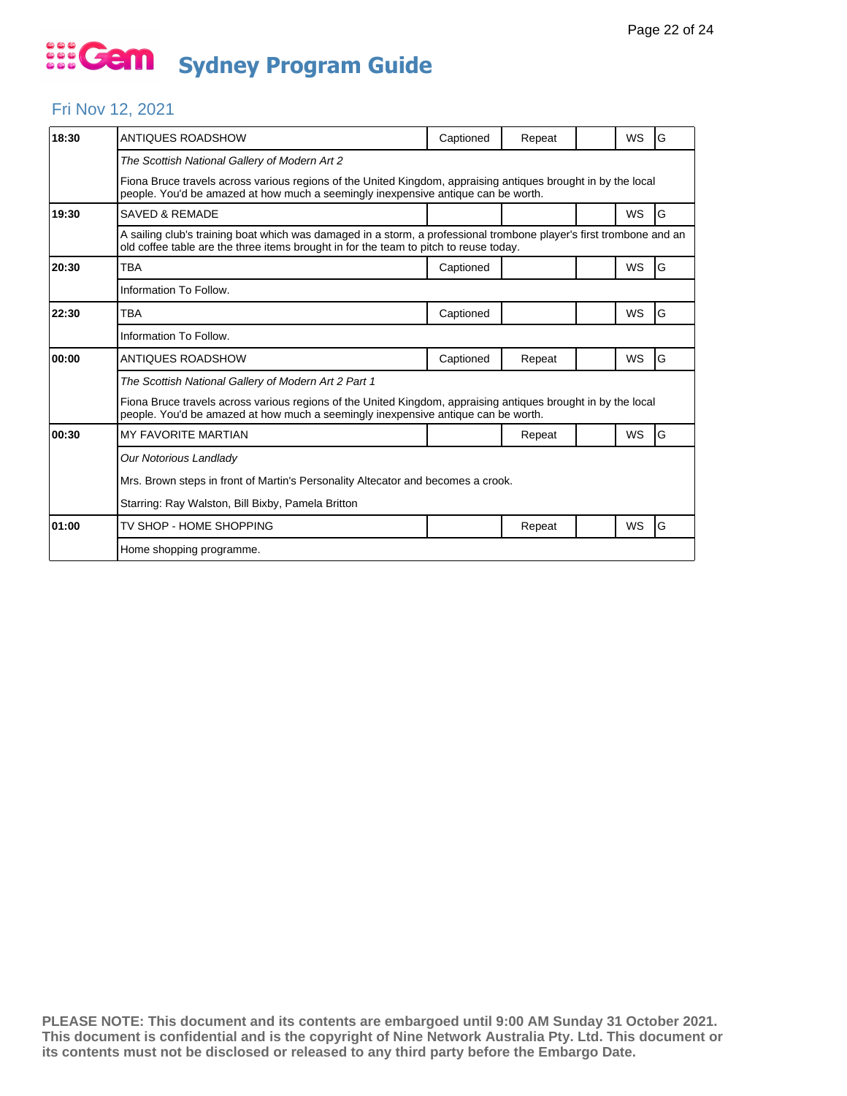#### Fri Nov 12, 2021

| 18:30 | ANTIQUES ROADSHOW                                                                                                                                                                                            | Captioned | Repeat |  | <b>WS</b> | G |  |  |
|-------|--------------------------------------------------------------------------------------------------------------------------------------------------------------------------------------------------------------|-----------|--------|--|-----------|---|--|--|
|       | The Scottish National Gallery of Modern Art 2                                                                                                                                                                |           |        |  |           |   |  |  |
|       | Fiona Bruce travels across various regions of the United Kingdom, appraising antiques brought in by the local<br>people. You'd be amazed at how much a seemingly inexpensive antique can be worth.           |           |        |  |           |   |  |  |
| 19:30 | <b>SAVED &amp; REMADE</b>                                                                                                                                                                                    |           |        |  | WS        | G |  |  |
|       | A sailing club's training boat which was damaged in a storm, a professional trombone player's first trombone and an<br>old coffee table are the three items brought in for the team to pitch to reuse today. |           |        |  |           |   |  |  |
| 20:30 | <b>TBA</b>                                                                                                                                                                                                   | Captioned |        |  | WS        | G |  |  |
|       | Information To Follow.                                                                                                                                                                                       |           |        |  |           |   |  |  |
| 22:30 | TBA                                                                                                                                                                                                          | Captioned |        |  | <b>WS</b> | G |  |  |
|       | Information To Follow.                                                                                                                                                                                       |           |        |  |           |   |  |  |
| 00:00 | ANTIQUES ROADSHOW                                                                                                                                                                                            | Captioned | Repeat |  | <b>WS</b> | G |  |  |
|       | The Scottish National Gallery of Modern Art 2 Part 1                                                                                                                                                         |           |        |  |           |   |  |  |
|       | Fiona Bruce travels across various regions of the United Kingdom, appraising antiques brought in by the local<br>people. You'd be amazed at how much a seemingly inexpensive antique can be worth.           |           |        |  |           |   |  |  |
| 00:30 | <b>MY FAVORITE MARTIAN</b>                                                                                                                                                                                   |           | Repeat |  | WS        | G |  |  |
|       | Our Notorious Landlady                                                                                                                                                                                       |           |        |  |           |   |  |  |
|       | Mrs. Brown steps in front of Martin's Personality Altecator and becomes a crook.                                                                                                                             |           |        |  |           |   |  |  |
|       | Starring: Ray Walston, Bill Bixby, Pamela Britton                                                                                                                                                            |           |        |  |           |   |  |  |
| 01:00 | TV SHOP - HOME SHOPPING                                                                                                                                                                                      |           | Repeat |  | WS        | G |  |  |
|       | Home shopping programme.                                                                                                                                                                                     |           |        |  |           |   |  |  |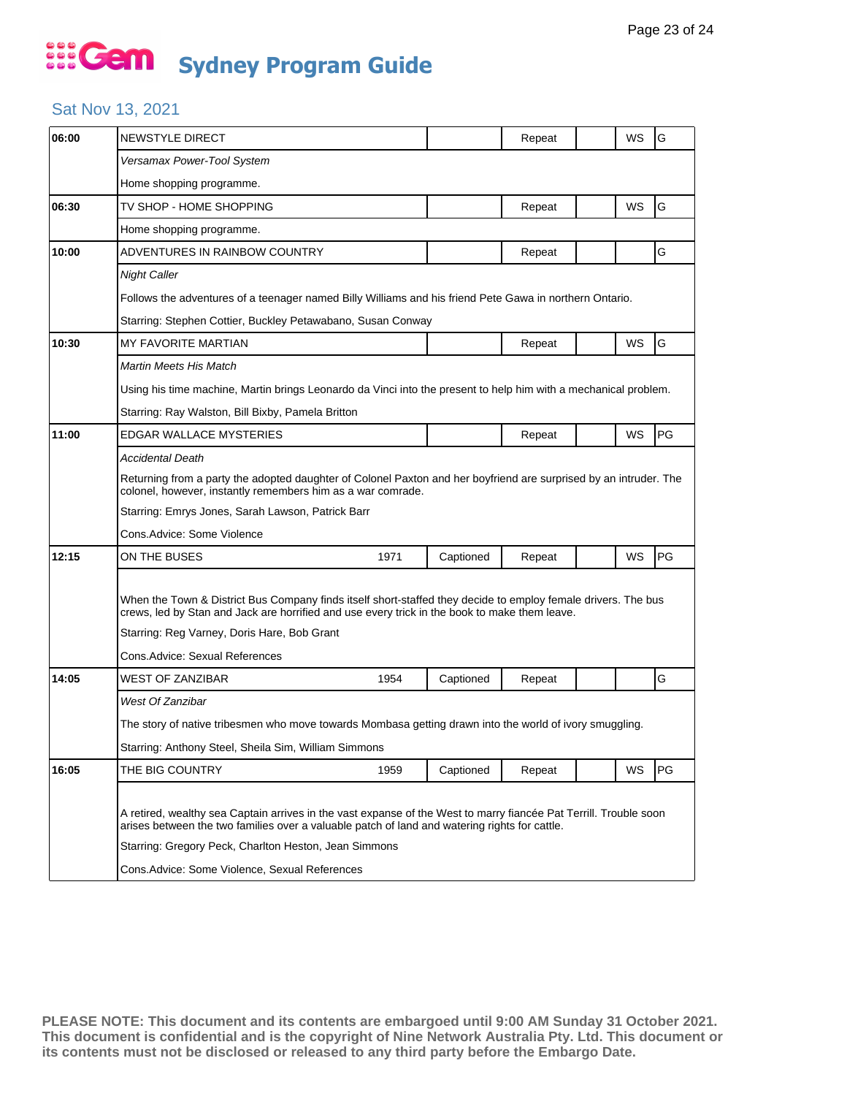#### Sat Nov 13, 2021

| 06:00 | NEWSTYLE DIRECT                                                                                                                                                                                                                                                                                                              |           | Repeat |  | WS | G         |  |  |
|-------|------------------------------------------------------------------------------------------------------------------------------------------------------------------------------------------------------------------------------------------------------------------------------------------------------------------------------|-----------|--------|--|----|-----------|--|--|
|       | Versamax Power-Tool System                                                                                                                                                                                                                                                                                                   |           |        |  |    |           |  |  |
|       | Home shopping programme.                                                                                                                                                                                                                                                                                                     |           |        |  |    |           |  |  |
| 06:30 | TV SHOP - HOME SHOPPING                                                                                                                                                                                                                                                                                                      |           | Repeat |  | WS | G         |  |  |
|       | Home shopping programme.                                                                                                                                                                                                                                                                                                     |           |        |  |    |           |  |  |
| 10:00 | ADVENTURES IN RAINBOW COUNTRY                                                                                                                                                                                                                                                                                                |           | Repeat |  |    | G         |  |  |
|       | Night Caller                                                                                                                                                                                                                                                                                                                 |           |        |  |    |           |  |  |
|       | Follows the adventures of a teenager named Billy Williams and his friend Pete Gawa in northern Ontario.                                                                                                                                                                                                                      |           |        |  |    |           |  |  |
|       | Starring: Stephen Cottier, Buckley Petawabano, Susan Conway                                                                                                                                                                                                                                                                  |           |        |  |    |           |  |  |
| 10:30 | <b>MY FAVORITE MARTIAN</b>                                                                                                                                                                                                                                                                                                   |           | Repeat |  | WS | G         |  |  |
|       | Martin Meets His Match                                                                                                                                                                                                                                                                                                       |           |        |  |    |           |  |  |
|       | Using his time machine, Martin brings Leonardo da Vinci into the present to help him with a mechanical problem.                                                                                                                                                                                                              |           |        |  |    |           |  |  |
|       | Starring: Ray Walston, Bill Bixby, Pamela Britton                                                                                                                                                                                                                                                                            |           |        |  |    |           |  |  |
| 11:00 | EDGAR WALLACE MYSTERIES                                                                                                                                                                                                                                                                                                      |           | Repeat |  | WS | PG        |  |  |
|       | <b>Accidental Death</b>                                                                                                                                                                                                                                                                                                      |           |        |  |    |           |  |  |
|       | Returning from a party the adopted daughter of Colonel Paxton and her boyfriend are surprised by an intruder. The<br>colonel, however, instantly remembers him as a war comrade.                                                                                                                                             |           |        |  |    |           |  |  |
|       | Starring: Emrys Jones, Sarah Lawson, Patrick Barr                                                                                                                                                                                                                                                                            |           |        |  |    |           |  |  |
|       | Cons.Advice: Some Violence                                                                                                                                                                                                                                                                                                   |           |        |  |    |           |  |  |
| 12:15 | ON THE BUSES<br>1971                                                                                                                                                                                                                                                                                                         | Captioned | Repeat |  | WS | PG        |  |  |
|       | When the Town & District Bus Company finds itself short-staffed they decide to employ female drivers. The bus<br>crews, led by Stan and Jack are horrified and use every trick in the book to make them leave.<br>Starring: Reg Varney, Doris Hare, Bob Grant                                                                |           |        |  |    |           |  |  |
|       | Cons.Advice: Sexual References                                                                                                                                                                                                                                                                                               |           |        |  |    |           |  |  |
| 14:05 | 1954<br>WEST OF ZANZIBAR                                                                                                                                                                                                                                                                                                     | Captioned | Repeat |  |    | G         |  |  |
|       | West Of Zanzibar                                                                                                                                                                                                                                                                                                             |           |        |  |    |           |  |  |
|       | The story of native tribesmen who move towards Mombasa getting drawn into the world of ivory smuggling.                                                                                                                                                                                                                      |           |        |  |    |           |  |  |
|       | Starring: Anthony Steel, Sheila Sim, William Simmons                                                                                                                                                                                                                                                                         |           |        |  |    |           |  |  |
| 16:05 | THE BIG COUNTRY<br>1959                                                                                                                                                                                                                                                                                                      | Captioned | Repeat |  | WS | <b>PG</b> |  |  |
|       | A retired, wealthy sea Captain arrives in the vast expanse of the West to marry fiancée Pat Terrill. Trouble soon<br>arises between the two families over a valuable patch of land and watering rights for cattle.<br>Starring: Gregory Peck, Charlton Heston, Jean Simmons<br>Cons.Advice: Some Violence, Sexual References |           |        |  |    |           |  |  |
|       |                                                                                                                                                                                                                                                                                                                              |           |        |  |    |           |  |  |